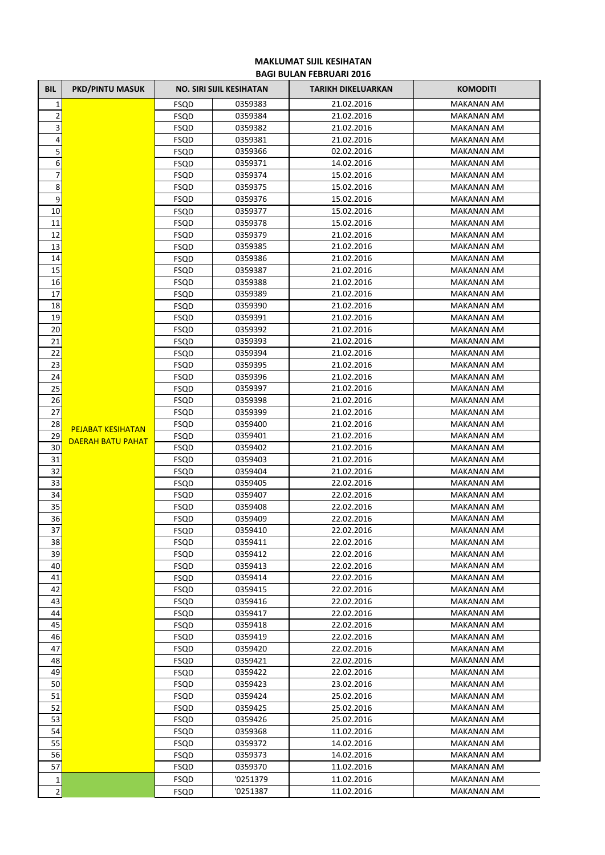## **MAKLUMAT SIJIL KESIHATAN BAGI BULAN FEBRUARI 2016**

| BIL                     | <b>PKD/PINTU MASUK</b>   |              | <b>NO. SIRI SIJIL KESIHATAN</b> | <b>TARIKH DIKELUARKAN</b> | <b>KOMODITI</b>                        |
|-------------------------|--------------------------|--------------|---------------------------------|---------------------------|----------------------------------------|
| $\mathbf{1}$            |                          | FSQD         | 0359383                         | 21.02.2016                | <b>MAKANAN AM</b>                      |
| $\mathbf 2$             |                          | FSQD         | 0359384                         | 21.02.2016                | <b>MAKANAN AM</b>                      |
| $\overline{\mathbf{3}}$ |                          | FSQD         | 0359382                         | 21.02.2016                | MAKANAN AM                             |
| 4                       |                          | FSQD         | 0359381                         | 21.02.2016                | <b>MAKANAN AM</b>                      |
| 5                       |                          | FSQD         | 0359366                         | 02.02.2016                | <b>MAKANAN AM</b>                      |
| 6                       |                          | FSQD         | 0359371                         | 14.02.2016                | <b>MAKANAN AM</b>                      |
| 7                       |                          | FSQD         | 0359374                         | 15.02.2016                | <b>MAKANAN AM</b>                      |
| 8                       |                          | FSQD         | 0359375                         | 15.02.2016                | <b>MAKANAN AM</b>                      |
| 9                       |                          | FSQD         | 0359376                         | 15.02.2016                | MAKANAN AM                             |
| 10                      |                          | FSQD         | 0359377                         | 15.02.2016                | <b>MAKANAN AM</b>                      |
| 11                      |                          | FSQD         | 0359378                         | 15.02.2016                | <b>MAKANAN AM</b>                      |
| 12                      |                          | FSQD         | 0359379                         | 21.02.2016                | MAKANAN AM                             |
| 13                      |                          | FSQD         | 0359385                         | 21.02.2016                | MAKANAN AM                             |
| 14                      |                          | FSQD         | 0359386                         | 21.02.2016                | MAKANAN AM                             |
| 15                      |                          | FSQD         | 0359387                         | 21.02.2016                | MAKANAN AM                             |
| 16                      |                          | <b>FSQD</b>  | 0359388                         | 21.02.2016                | <b>MAKANAN AM</b>                      |
| 17                      |                          | <b>FSQD</b>  | 0359389                         | 21.02.2016                | <b>MAKANAN AM</b>                      |
| 18                      |                          | FSQD         | 0359390                         | 21.02.2016                | MAKANAN AM                             |
| 19                      |                          | FSQD         | 0359391                         | 21.02.2016                | <b>MAKANAN AM</b>                      |
| 20                      |                          | FSQD         | 0359392                         | 21.02.2016                | <b>MAKANAN AM</b>                      |
| 21                      |                          | FSQD         | 0359393                         | 21.02.2016                | <b>MAKANAN AM</b>                      |
| 22                      |                          | FSQD         | 0359394                         | 21.02.2016                | <b>MAKANAN AM</b>                      |
| 23                      |                          | FSQD         | 0359395                         | 21.02.2016                | <b>MAKANAN AM</b>                      |
| 24                      |                          | FSQD         | 0359396                         | 21.02.2016                | <b>MAKANAN AM</b>                      |
| 25                      |                          | FSQD         | 0359397                         | 21.02.2016                | <b>MAKANAN AM</b>                      |
| 26                      |                          | FSQD         | 0359398                         | 21.02.2016                | MAKANAN AM                             |
| 27                      |                          | FSQD         | 0359399                         | 21.02.2016                | <b>MAKANAN AM</b>                      |
| 28                      | <b>PEJABAT KESIHATAN</b> | FSQD         | 0359400                         | 21.02.2016                | <b>MAKANAN AM</b>                      |
| 29                      | DAERAH BATU PAHAT        | FSQD         | 0359401                         | 21.02.2016                | MAKANAN AM                             |
| 30                      |                          | FSQD         | 0359402                         | 21.02.2016                | MAKANAN AM                             |
| 31                      |                          | FSQD         | 0359403                         | 21.02.2016                | MAKANAN AM                             |
| 32                      |                          | FSQD         | 0359404                         | 21.02.2016                | MAKANAN AM                             |
| 33                      |                          | FSQD         | 0359405                         | 22.02.2016                | <b>MAKANAN AM</b>                      |
| 34                      |                          | FSQD         | 0359407                         | 22.02.2016                | <b>MAKANAN AM</b>                      |
| 35                      |                          | FSQD         | 0359408                         | 22.02.2016                | MAKANAN AM                             |
| 36                      |                          | FSQD         | 0359409                         | 22.02.2016                | <b>MAKANAN AM</b>                      |
| 37                      |                          | FSQD         | 0359410                         | 22.02.2016                | <b>MAKANAN AM</b>                      |
| 38                      |                          | FSQD         | 0359411                         | 22.02.2016                | MAKANAN AM                             |
| 39                      |                          | FSQD         | 0359412                         | 22.02.2016                | <b>MAKANAN AM</b>                      |
| 40                      |                          | FSQD         | 0359413                         | 22.02.2016                | <b>MAKANAN AM</b><br><b>MAKANAN AM</b> |
| 41                      |                          | FSQD         | 0359414                         | 22.02.2016                |                                        |
| 42                      |                          | <b>FSQD</b>  | 0359415                         | 22.02.2016                | <b>MAKANAN AM</b><br>MAKANAN AM        |
| 43<br>44                |                          | FSQD         | 0359416                         | 22.02.2016                |                                        |
| 45                      |                          | FSQD         | 0359417                         | 22.02.2016                | MAKANAN AM<br><b>MAKANAN AM</b>        |
|                         |                          | FSQD         | 0359418                         | 22.02.2016                | <b>MAKANAN AM</b>                      |
| 46<br>47                |                          | FSQD<br>FSQD | 0359419<br>0359420              | 22.02.2016<br>22.02.2016  | MAKANAN AM                             |
| 48                      |                          | FSQD         |                                 | 22.02.2016                | <b>MAKANAN AM</b>                      |
| 49                      |                          | FSQD         | 0359421<br>0359422              | 22.02.2016                | MAKANAN AM                             |
| 50                      |                          | FSQD         | 0359423                         | 23.02.2016                | MAKANAN AM                             |
| 51                      |                          | FSQD         | 0359424                         | 25.02.2016                | MAKANAN AM                             |
| 52                      |                          | FSQD         | 0359425                         | 25.02.2016                | MAKANAN AM                             |
| 53                      |                          | FSQD         | 0359426                         | 25.02.2016                | MAKANAN AM                             |
| 54                      |                          | FSQD         | 0359368                         | 11.02.2016                | MAKANAN AM                             |
| 55                      |                          | FSQD         | 0359372                         | 14.02.2016                | MAKANAN AM                             |
| 56                      |                          | FSQD         | 0359373                         | 14.02.2016                | MAKANAN AM                             |
| 57                      |                          | FSQD         | 0359370                         | 11.02.2016                | <b>MAKANAN AM</b>                      |
| 1                       |                          | FSQD         | '0251379                        | 11.02.2016                | <b>MAKANAN AM</b>                      |
| $\mathbf 2$             |                          | FSQD         | '0251387                        | 11.02.2016                | <b>MAKANAN AM</b>                      |
|                         |                          |              |                                 |                           |                                        |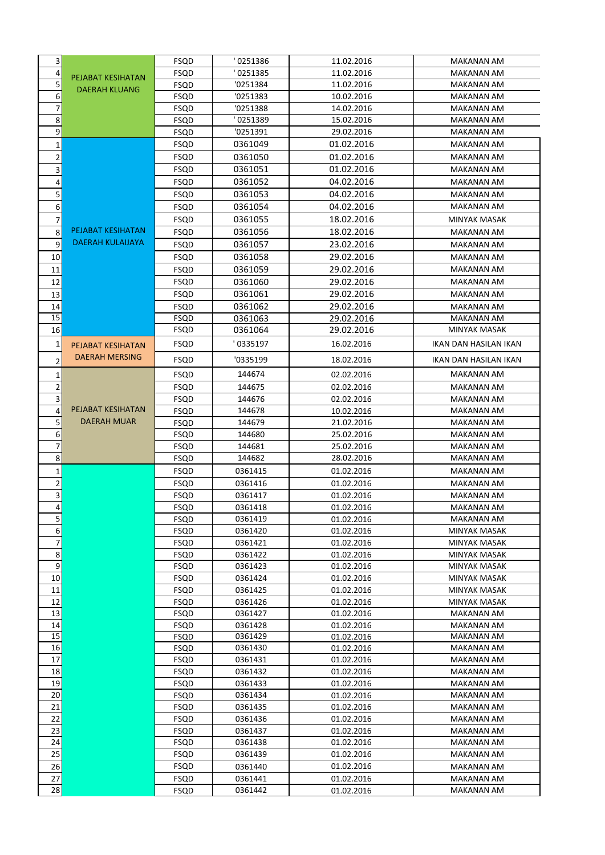| 3                                 |                         | FSQD                | 0251386            | 11.02.2016               | <b>MAKANAN AM</b>            |
|-----------------------------------|-------------------------|---------------------|--------------------|--------------------------|------------------------------|
| 4                                 |                         | FSQD                | 0251385            | 11.02.2016               | MAKANAN AM                   |
| 5                                 | PEJABAT KESIHATAN       | <b>FSQD</b>         | '0251384           | 11.02.2016               | <b>MAKANAN AM</b>            |
| 6                                 | <b>DAERAH KLUANG</b>    | <b>FSQD</b>         | '0251383           | 10.02.2016               | <b>MAKANAN AM</b>            |
| 7                                 |                         | <b>FSQD</b>         | '0251388           | 14.02.2016               | <b>MAKANAN AM</b>            |
| $\,8\,$                           |                         | FSQD                | 0251389            | 15.02.2016               | <b>MAKANAN AM</b>            |
| 9                                 |                         | <b>FSQD</b>         | '0251391           | 29.02.2016               | MAKANAN AM                   |
| 1                                 |                         | <b>FSQD</b>         | 0361049            | 01.02.2016               | <b>MAKANAN AM</b>            |
| $\mathbf 2$                       |                         | FSQD                | 0361050            | 01.02.2016               | <b>MAKANAN AM</b>            |
| 3                                 |                         | <b>FSQD</b>         | 0361051            | 01.02.2016               | <b>MAKANAN AM</b>            |
| 4                                 |                         | <b>FSQD</b>         | 0361052            | 04.02.2016               | <b>MAKANAN AM</b>            |
| 5                                 |                         | <b>FSQD</b>         | 0361053            | 04.02.2016               | <b>MAKANAN AM</b>            |
| 6                                 |                         | <b>FSQD</b>         | 0361054            | 04.02.2016               | <b>MAKANAN AM</b>            |
| 7                                 |                         | <b>FSQD</b>         | 0361055            | 18.02.2016               | <b>MINYAK MASAK</b>          |
| 8                                 | PEJABAT KESIHATAN       | <b>FSQD</b>         | 0361056            | 18.02.2016               | <b>MAKANAN AM</b>            |
| 9                                 | <b>DAERAH KULAIJAYA</b> | <b>FSQD</b>         | 0361057            | 23.02.2016               | <b>MAKANAN AM</b>            |
|                                   |                         | <b>FSQD</b>         | 0361058            | 29.02.2016               | <b>MAKANAN AM</b>            |
| 10                                |                         |                     | 0361059            | 29.02.2016               |                              |
| 11                                |                         | FSQD                |                    |                          | <b>MAKANAN AM</b>            |
| 12                                |                         | FSQD                | 0361060            | 29.02.2016               | <b>MAKANAN AM</b>            |
| 13                                |                         | <b>FSQD</b>         | 0361061            | 29.02.2016               | <b>MAKANAN AM</b>            |
| 14                                |                         | <b>FSQD</b>         | 0361062            | 29.02.2016               | <b>MAKANAN AM</b>            |
| 15                                |                         | <b>FSQD</b>         | 0361063            | 29.02.2016               | <b>MAKANAN AM</b>            |
| 16                                |                         | <b>FSQD</b>         | 0361064            | 29.02.2016               | MINYAK MASAK                 |
| 1                                 | PEJABAT KESIHATAN       | FSQD                | 0335197            | 16.02.2016               | IKAN DAN HASILAN IKAN        |
| $\overline{2}$                    | <b>DAERAH MERSING</b>   | FSQD                | '0335199           | 18.02.2016               | IKAN DAN HASILAN IKAN        |
| 1                                 |                         | FSQD                | 144674             | 02.02.2016               | <b>MAKANAN AM</b>            |
| 2                                 |                         | FSQD                | 144675             | 02.02.2016               | MAKANAN AM                   |
| 3                                 |                         | FSQD                | 144676             | 02.02.2016               | <b>MAKANAN AM</b>            |
| 4                                 | PEJABAT KESIHATAN       | FSQD                | 144678             | 10.02.2016               | MAKANAN AM                   |
| 5                                 | <b>DAERAH MUAR</b>      | <b>FSQD</b>         | 144679             | 21.02.2016               | MAKANAN AM                   |
| 6                                 |                         | <b>FSQD</b>         | 144680             | 25.02.2016               | <b>MAKANAN AM</b>            |
| 7                                 |                         | <b>FSQD</b>         | 144681             | 25.02.2016               | <b>MAKANAN AM</b>            |
| 8                                 |                         | FSQD                | 144682             | 28.02.2016               | <b>MAKANAN AM</b>            |
| 1                                 |                         | FSQD                | 0361415            | 01.02.2016               | <b>MAKANAN AM</b>            |
| $\overline{2}$                    |                         | <b>FSQD</b>         | 0361416            | 01.02.2016               | <b>MAKANAN AM</b>            |
| 3                                 |                         | <b>FSQD</b>         | 0361417            | 01.02.2016               | <b>MAKANAN AM</b>            |
| $\overline{4}$                    |                         | FSQD                | 0361418            | 01.02.2016               | MAKANAN AM                   |
| 5                                 |                         | FSQD                | 0361419            | 01.02.2016               | MAKANAN AM                   |
| $6\overline{6}$<br>$\overline{7}$ |                         | FSQD                | 0361420            | 01.02.2016               | MINYAK MASAK                 |
|                                   |                         | FSQD                | 0361421            | 01.02.2016               | MINYAK MASAK                 |
| $\bf 8$<br>$\overline{9}$         |                         | FSQD<br><b>FSQD</b> | 0361422            | 01.02.2016               | MINYAK MASAK<br>MINYAK MASAK |
| 10 <sup>1</sup>                   |                         |                     | 0361423            | 01.02.2016               | MINYAK MASAK                 |
| 11                                |                         | FSQD<br>FSQD        | 0361424<br>0361425 | 01.02.2016<br>01.02.2016 | MINYAK MASAK                 |
| 12                                |                         | FSQD                | 0361426            | 01.02.2016               | MINYAK MASAK                 |
| 13                                |                         | FSQD                | 0361427            | 01.02.2016               | MAKANAN AM                   |
| 14                                |                         | <b>FSQD</b>         | 0361428            | 01.02.2016               | MAKANAN AM                   |
| 15                                |                         | FSQD                | 0361429            | 01.02.2016               | MAKANAN AM                   |
| 16                                |                         | FSQD                | 0361430            | 01.02.2016               | MAKANAN AM                   |
| 17                                |                         | <b>FSQD</b>         | 0361431            | 01.02.2016               | MAKANAN AM                   |
| 18                                |                         | FSQD                | 0361432            | 01.02.2016               | MAKANAN AM                   |
| 19                                |                         | <b>FSQD</b>         | 0361433            | 01.02.2016               | MAKANAN AM                   |
| 20                                |                         | FSQD                | 0361434            | 01.02.2016               | MAKANAN AM                   |
| 21                                |                         | FSQD                | 0361435            | 01.02.2016               | MAKANAN AM                   |
| 22                                |                         | FSQD                | 0361436            | 01.02.2016               | MAKANAN AM                   |
| 23                                |                         | FSQD                | 0361437            | 01.02.2016               | MAKANAN AM                   |
| 24                                |                         | FSQD                | 0361438            | 01.02.2016               | MAKANAN AM                   |
| 25                                |                         | FSQD                | 0361439            | 01.02.2016               | MAKANAN AM                   |
| 26                                |                         | FSQD                | 0361440            | 01.02.2016               | MAKANAN AM                   |
| 27                                |                         | FSQD                | 0361441            | 01.02.2016               | MAKANAN AM                   |
| 28                                |                         | FSQD                | 0361442            | 01.02.2016               | MAKANAN AM                   |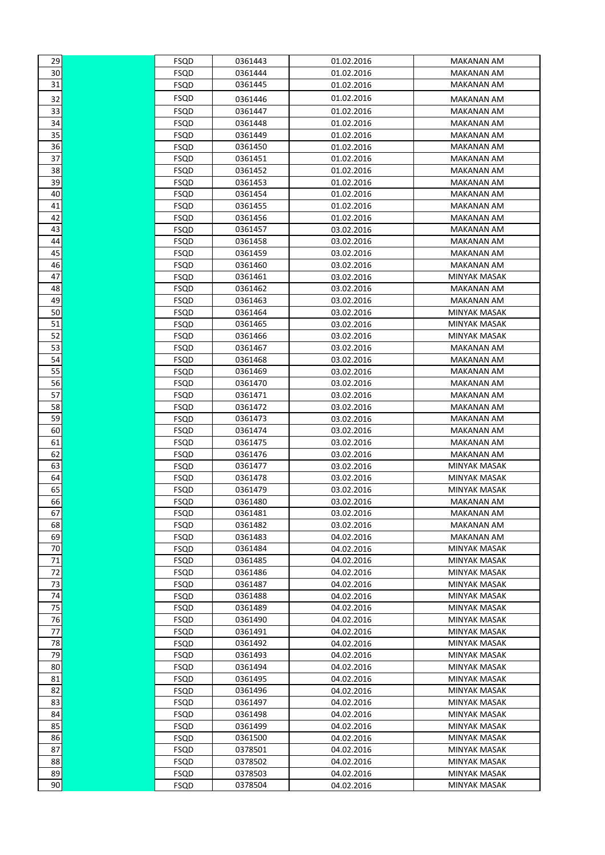| 29                    | FSQD        | 0361443 | 01.02.2016 | MAKANAN AM                      |
|-----------------------|-------------|---------|------------|---------------------------------|
| 30                    | <b>FSQD</b> | 0361444 | 01.02.2016 | <b>MAKANAN AM</b>               |
| 31                    | <b>FSQD</b> | 0361445 | 01.02.2016 | MAKANAN AM                      |
|                       | FSQD        |         | 01.02.2016 |                                 |
| 32<br>$\overline{33}$ |             | 0361446 |            | MAKANAN AM<br><b>MAKANAN AM</b> |
|                       | FSQD        | 0361447 | 01.02.2016 |                                 |
| 34<br>35              | FSQD        | 0361448 | 01.02.2016 | <b>MAKANAN AM</b>               |
|                       | FSQD        | 0361449 | 01.02.2016 | MAKANAN AM                      |
| 36                    | FSQD        | 0361450 | 01.02.2016 | MAKANAN AM                      |
| 37                    | <b>FSQD</b> | 0361451 | 01.02.2016 | MAKANAN AM                      |
| 38                    | FSQD        | 0361452 | 01.02.2016 | MAKANAN AM                      |
| 39                    | FSQD        | 0361453 | 01.02.2016 | MAKANAN AM                      |
| 40                    | FSQD        | 0361454 | 01.02.2016 | MAKANAN AM                      |
| 41                    | FSQD        | 0361455 | 01.02.2016 | MAKANAN AM                      |
| 42                    | FSQD        | 0361456 | 01.02.2016 | MAKANAN AM                      |
| 43                    | FSQD        | 0361457 | 03.02.2016 | MAKANAN AM                      |
| 44                    | FSQD        | 0361458 | 03.02.2016 | MAKANAN AM                      |
| 45                    | FSQD        | 0361459 | 03.02.2016 | MAKANAN AM                      |
| 46                    | FSQD        | 0361460 | 03.02.2016 | MAKANAN AM                      |
| 47                    | FSQD        | 0361461 | 03.02.2016 | MINYAK MASAK                    |
| 48                    | FSQD        | 0361462 | 03.02.2016 | MAKANAN AM                      |
| 49                    | FSQD        | 0361463 | 03.02.2016 | MAKANAN AM                      |
| 50                    | FSQD        | 0361464 | 03.02.2016 | MINYAK MASAK                    |
| 51                    | FSQD        | 0361465 | 03.02.2016 | <b>MINYAK MASAK</b>             |
| 52                    | FSQD        | 0361466 | 03.02.2016 | <b>MINYAK MASAK</b>             |
| 53                    | FSQD        | 0361467 | 03.02.2016 | MAKANAN AM                      |
| 54                    | FSQD        | 0361468 | 03.02.2016 | MAKANAN AM                      |
| 55                    | FSQD        | 0361469 | 03.02.2016 | MAKANAN AM                      |
| 56                    | FSQD        | 0361470 | 03.02.2016 | MAKANAN AM                      |
| 57                    | FSQD        | 0361471 | 03.02.2016 | MAKANAN AM                      |
| 58                    | FSQD        | 0361472 | 03.02.2016 | MAKANAN AM                      |
| 59                    | FSQD        | 0361473 | 03.02.2016 | MAKANAN AM                      |
| 60                    | FSQD        | 0361474 | 03.02.2016 | MAKANAN AM                      |
| 61                    | FSQD        | 0361475 | 03.02.2016 | MAKANAN AM                      |
| 62                    | FSQD        | 0361476 | 03.02.2016 | MAKANAN AM                      |
| 63                    | FSQD        | 0361477 | 03.02.2016 | MINYAK MASAK                    |
| 64                    | FSQD        | 0361478 | 03.02.2016 | MINYAK MASAK                    |
| 65                    | FSQD        | 0361479 | 03.02.2016 | MINYAK MASAK                    |
| 66                    | FSQD        | 0361480 | 03.02.2016 | <b>MAKANAN AM</b>               |
| 67                    | FSQD        | 0361481 | 03.02.2016 | MAKANAN AM                      |
| 68                    | FSQD        | 0361482 | 03.02.2016 | <b>MAKANAN AM</b>               |
| 69                    | FSQD        | 0361483 | 04.02.2016 | <b>MAKANAN AM</b>               |
| 70                    | FSQD        | 0361484 | 04.02.2016 | MINYAK MASAK                    |
| 71                    | FSQD        | 0361485 | 04.02.2016 | <b>MINYAK MASAK</b>             |
| 72                    | FSQD        | 0361486 | 04.02.2016 | MINYAK MASAK                    |
| 73                    | FSQD        | 0361487 | 04.02.2016 | <b>MINYAK MASAK</b>             |
| 74                    | FSQD        | 0361488 | 04.02.2016 | MINYAK MASAK                    |
| 75                    | FSQD        | 0361489 | 04.02.2016 | MINYAK MASAK                    |
| 76                    | FSQD        | 0361490 | 04.02.2016 | <b>MINYAK MASAK</b>             |
| 77                    | FSQD        | 0361491 | 04.02.2016 | MINYAK MASAK                    |
| 78                    | FSQD        | 0361492 | 04.02.2016 | MINYAK MASAK                    |
| 79                    | FSQD        | 0361493 | 04.02.2016 | MINYAK MASAK                    |
| 80                    | FSQD        | 0361494 | 04.02.2016 | <b>MINYAK MASAK</b>             |
| 81                    | FSQD        | 0361495 | 04.02.2016 | <b>MINYAK MASAK</b>             |
| 82                    | FSQD        | 0361496 | 04.02.2016 | <b>MINYAK MASAK</b>             |
| 83                    | FSQD        | 0361497 | 04.02.2016 | <b>MINYAK MASAK</b>             |
| 84                    | FSQD        | 0361498 | 04.02.2016 | <b>MINYAK MASAK</b>             |
| 85                    | FSQD        | 0361499 | 04.02.2016 | <b>MINYAK MASAK</b>             |
| 86                    | FSQD        | 0361500 | 04.02.2016 | MINYAK MASAK                    |
| 87                    | FSQD        | 0378501 | 04.02.2016 | MINYAK MASAK                    |
| 88                    | FSQD        | 0378502 | 04.02.2016 | MINYAK MASAK                    |
| 89                    | FSQD        | 0378503 | 04.02.2016 | MINYAK MASAK                    |
| 90                    | FSQD        | 0378504 | 04.02.2016 | MINYAK MASAK                    |
|                       |             |         |            |                                 |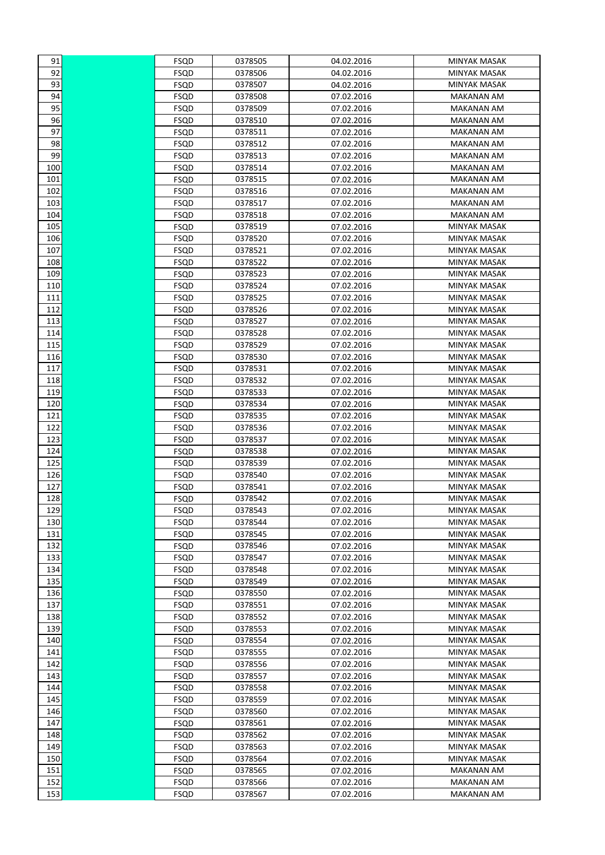| 91         | FSQD         | 0378505            | 04.02.2016               | MINYAK MASAK                 |
|------------|--------------|--------------------|--------------------------|------------------------------|
| 92         | FSQD         | 0378506            | 04.02.2016               | <b>MINYAK MASAK</b>          |
| 93         | <b>FSQD</b>  | 0378507            | 04.02.2016               | <b>MINYAK MASAK</b>          |
| 94         | FSQD         | 0378508            | 07.02.2016               | <b>MAKANAN AM</b>            |
| 95         | FSQD         | 0378509            | 07.02.2016               | <b>MAKANAN AM</b>            |
| 96         | FSQD         | 0378510            | 07.02.2016               | MAKANAN AM                   |
| 97         | FSQD         | 0378511            | 07.02.2016               | <b>MAKANAN AM</b>            |
| 98         | FSQD         | 0378512            | 07.02.2016               | <b>MAKANAN AM</b>            |
| 99         | FSQD         | 0378513            | 07.02.2016               | MAKANAN AM                   |
| 100        | FSQD         | 0378514            | 07.02.2016               | MAKANAN AM                   |
| 101        | FSQD         | 0378515            | 07.02.2016               | <b>MAKANAN AM</b>            |
| 102        | FSQD         | 0378516            | 07.02.2016               | <b>MAKANAN AM</b>            |
| 103        | FSQD         | 0378517            | 07.02.2016               | MAKANAN AM                   |
| 104        | FSQD         | 0378518            | 07.02.2016               | <b>MAKANAN AM</b>            |
| 105        | FSQD         | 0378519            | 07.02.2016               | <b>MINYAK MASAK</b>          |
| 106        | FSQD         | 0378520            | 07.02.2016               | <b>MINYAK MASAK</b>          |
| 107        | FSQD         | 0378521            | 07.02.2016               | MINYAK MASAK                 |
| 108        | FSQD         | 0378522            | 07.02.2016               | MINYAK MASAK                 |
| 109        | FSQD         | 0378523            | 07.02.2016               | <b>MINYAK MASAK</b>          |
| 110        | FSQD         | 0378524            | 07.02.2016               | <b>MINYAK MASAK</b>          |
| 111        | FSQD         | 0378525            | 07.02.2016               | <b>MINYAK MASAK</b>          |
| 112        | FSQD         | 0378526            | 07.02.2016               | <b>MINYAK MASAK</b>          |
| 113        | FSQD         | 0378527            | 07.02.2016               | MINYAK MASAK                 |
| 114        | FSQD         | 0378528            | 07.02.2016               | MINYAK MASAK                 |
| 115        | FSQD         | 0378529            | 07.02.2016               | MINYAK MASAK                 |
| 116        | FSQD         | 0378530            | 07.02.2016               | MINYAK MASAK                 |
| 117        | FSQD         | 0378531            | 07.02.2016               | MINYAK MASAK                 |
| 118        | FSQD         | 0378532            | 07.02.2016               | MINYAK MASAK                 |
| 119        | FSQD         | 0378533            | 07.02.2016               | MINYAK MASAK                 |
| 120        | FSQD         | 0378534            | 07.02.2016               | MINYAK MASAK                 |
| 121        | FSQD         | 0378535            | 07.02.2016               | <b>MINYAK MASAK</b>          |
| 122        | FSQD         | 0378536            | 07.02.2016               | <b>MINYAK MASAK</b>          |
| 123        | FSQD         | 0378537            | 07.02.2016               | <b>MINYAK MASAK</b>          |
| 124        | FSQD         | 0378538            | 07.02.2016               | MINYAK MASAK                 |
| 125        | FSQD         | 0378539            | 07.02.2016               | MINYAK MASAK                 |
| 126        | FSQD         | 0378540            | 07.02.2016               | MINYAK MASAK                 |
| 127        | FSQD         | 0378541            | 07.02.2016               | <b>MINYAK MASAK</b>          |
| 128        | FSQD         | 0378542            | 07.02.2016               | <b>MINYAK MASAK</b>          |
| 129        | <b>FSQD</b>  | 0378543            | 07.02.2016               | <b>MINYAK MASAK</b>          |
| 130        | FSQD         | 0378544            | 07.02.2016               | MINYAK MASAK                 |
| 131        | FSQD         | 0378545            | 07.02.2016               | MINYAK MASAK                 |
| 132        | FSQD         | 0378546            | 07.02.2016               | MINYAK MASAK                 |
| 133        | FSQD         | 0378547            | 07.02.2016               | <b>MINYAK MASAK</b>          |
| 134        | FSQD         | 0378548            | 07.02.2016               | MINYAK MASAK                 |
| 135        | FSQD         | 0378549            | 07.02.2016               | MINYAK MASAK                 |
| 136        | <b>FSQD</b>  | 0378550            | 07.02.2016               | MINYAK MASAK                 |
| 137        | FSQD         | 0378551            | 07.02.2016               | MINYAK MASAK                 |
| 138        | FSQD         | 0378552            | 07.02.2016               | MINYAK MASAK                 |
| 139        | FSQD         | 0378553            | 07.02.2016               | <b>MINYAK MASAK</b>          |
| 140        | FSQD         | 0378554            | 07.02.2016               | MINYAK MASAK                 |
| 141        | FSQD         | 0378555            | 07.02.2016               | MINYAK MASAK                 |
| 142<br>143 | FSQD<br>FSQD | 0378556<br>0378557 | 07.02.2016<br>07.02.2016 | MINYAK MASAK<br>MINYAK MASAK |
| 144        | FSQD         | 0378558            | 07.02.2016               | <b>MINYAK MASAK</b>          |
| 145        | FSQD         | 0378559            | 07.02.2016               | <b>MINYAK MASAK</b>          |
| 146        | FSQD         | 0378560            | 07.02.2016               | <b>MINYAK MASAK</b>          |
| 147        | FSQD         | 0378561            | 07.02.2016               | <b>MINYAK MASAK</b>          |
| 148        | FSQD         | 0378562            | 07.02.2016               | MINYAK MASAK                 |
| 149        | FSQD         | 0378563            | 07.02.2016               | MINYAK MASAK                 |
| 150        | FSQD         | 0378564            | 07.02.2016               | MINYAK MASAK                 |
| 151        | FSQD         | 0378565            | 07.02.2016               | <b>MAKANAN AM</b>            |
| 152        | <b>FSQD</b>  | 0378566            | 07.02.2016               | <b>MAKANAN AM</b>            |
| 153        | FSQD         | 0378567            | 07.02.2016               | MAKANAN AM                   |
|            |              |                    |                          |                              |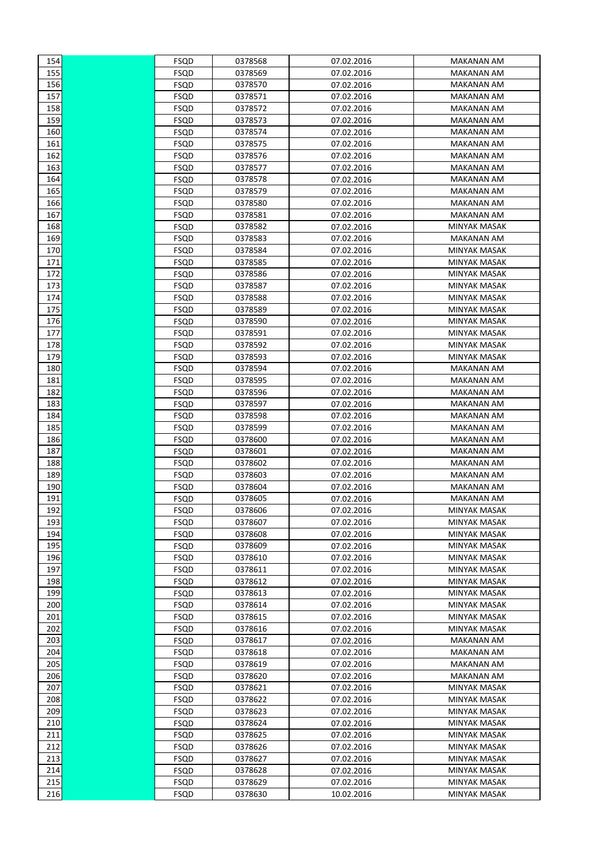| 154 | FSQD        | 0378568 | 07.02.2016 | MAKANAN AM          |
|-----|-------------|---------|------------|---------------------|
| 155 | <b>FSQD</b> | 0378569 | 07.02.2016 | <b>MAKANAN AM</b>   |
| 156 | <b>FSQD</b> | 0378570 | 07.02.2016 | <b>MAKANAN AM</b>   |
| 157 | <b>FSQD</b> | 0378571 | 07.02.2016 | <b>MAKANAN AM</b>   |
| 158 | <b>FSQD</b> | 0378572 | 07.02.2016 | <b>MAKANAN AM</b>   |
| 159 | <b>FSQD</b> | 0378573 | 07.02.2016 | <b>MAKANAN AM</b>   |
| 160 | FSQD        | 0378574 | 07.02.2016 | <b>MAKANAN AM</b>   |
| 161 | FSQD        | 0378575 | 07.02.2016 | <b>MAKANAN AM</b>   |
| 162 | FSQD        | 0378576 | 07.02.2016 | <b>MAKANAN AM</b>   |
| 163 | <b>FSQD</b> | 0378577 | 07.02.2016 | <b>MAKANAN AM</b>   |
| 164 | <b>FSQD</b> | 0378578 | 07.02.2016 | <b>MAKANAN AM</b>   |
| 165 | <b>FSQD</b> | 0378579 | 07.02.2016 | <b>MAKANAN AM</b>   |
| 166 | FSQD        | 0378580 | 07.02.2016 | MAKANAN AM          |
| 167 | FSQD        | 0378581 | 07.02.2016 | <b>MAKANAN AM</b>   |
| 168 | FSQD        | 0378582 | 07.02.2016 | <b>MINYAK MASAK</b> |
| 169 | FSQD        | 0378583 | 07.02.2016 | <b>MAKANAN AM</b>   |
| 170 | FSQD        | 0378584 | 07.02.2016 | <b>MINYAK MASAK</b> |
| 171 | FSQD        | 0378585 | 07.02.2016 | MINYAK MASAK        |
| 172 | <b>FSQD</b> | 0378586 | 07.02.2016 | <b>MINYAK MASAK</b> |
| 173 | <b>FSQD</b> | 0378587 | 07.02.2016 | <b>MINYAK MASAK</b> |
| 174 | <b>FSQD</b> | 0378588 | 07.02.2016 | <b>MINYAK MASAK</b> |
| 175 | FSQD        | 0378589 | 07.02.2016 | MINYAK MASAK        |
| 176 | <b>FSQD</b> | 0378590 | 07.02.2016 | MINYAK MASAK        |
| 177 | FSQD        | 0378591 | 07.02.2016 | MINYAK MASAK        |
| 178 | FSQD        | 0378592 | 07.02.2016 | MINYAK MASAK        |
| 179 | FSQD        | 0378593 | 07.02.2016 | MINYAK MASAK        |
| 180 | <b>FSQD</b> | 0378594 | 07.02.2016 | <b>MAKANAN AM</b>   |
| 181 | <b>FSQD</b> | 0378595 | 07.02.2016 | <b>MAKANAN AM</b>   |
| 182 | <b>FSQD</b> | 0378596 | 07.02.2016 | <b>MAKANAN AM</b>   |
| 183 | FSQD        | 0378597 | 07.02.2016 | <b>MAKANAN AM</b>   |
| 184 | <b>FSQD</b> | 0378598 | 07.02.2016 | <b>MAKANAN AM</b>   |
| 185 | <b>FSQD</b> | 0378599 | 07.02.2016 | <b>MAKANAN AM</b>   |
| 186 | <b>FSQD</b> | 0378600 | 07.02.2016 | <b>MAKANAN AM</b>   |
| 187 | FSQD        | 0378601 | 07.02.2016 | <b>MAKANAN AM</b>   |
| 188 | FSQD        | 0378602 | 07.02.2016 | <b>MAKANAN AM</b>   |
| 189 | <b>FSQD</b> | 0378603 | 07.02.2016 | <b>MAKANAN AM</b>   |
| 190 | <b>FSQD</b> | 0378604 | 07.02.2016 | <b>MAKANAN AM</b>   |
| 191 | FSQD        | 0378605 | 07.02.2016 | <b>MAKANAN AM</b>   |
| 192 | FSQD        | 0378606 | 07.02.2016 | MINYAK MASAK        |
| 193 | FSQD        | 0378607 | 07.02.2016 | MINYAK MASAK        |
| 194 | FSQD        | 0378608 | 07.02.2016 | MINYAK MASAK        |
| 195 | FSQD        | 0378609 | 07.02.2016 | MINYAK MASAK        |
| 196 | FSQD        | 0378610 | 07.02.2016 | MINYAK MASAK        |
| 197 | <b>FSQD</b> | 0378611 | 07.02.2016 | <b>MINYAK MASAK</b> |
| 198 | <b>FSQD</b> | 0378612 | 07.02.2016 | MINYAK MASAK        |
| 199 | <b>FSQD</b> | 0378613 | 07.02.2016 | MINYAK MASAK        |
| 200 | <b>FSQD</b> | 0378614 | 07.02.2016 | MINYAK MASAK        |
| 201 | <b>FSQD</b> | 0378615 | 07.02.2016 | MINYAK MASAK        |
| 202 | <b>FSQD</b> | 0378616 | 07.02.2016 | <b>MINYAK MASAK</b> |
| 203 | <b>FSQD</b> | 0378617 | 07.02.2016 | <b>MAKANAN AM</b>   |
| 204 | FSQD        | 0378618 | 07.02.2016 | <b>MAKANAN AM</b>   |
| 205 | FSQD        | 0378619 | 07.02.2016 | <b>MAKANAN AM</b>   |
| 206 | <b>FSQD</b> | 0378620 | 07.02.2016 | <b>MAKANAN AM</b>   |
| 207 | <b>FSQD</b> | 0378621 | 07.02.2016 | MINYAK MASAK        |
| 208 | <b>FSQD</b> | 0378622 | 07.02.2016 | MINYAK MASAK        |
| 209 | <b>FSQD</b> | 0378623 | 07.02.2016 | MINYAK MASAK        |
| 210 | <b>FSQD</b> | 0378624 | 07.02.2016 | MINYAK MASAK        |
| 211 | FSQD        | 0378625 | 07.02.2016 | MINYAK MASAK        |
| 212 | FSQD        | 0378626 | 07.02.2016 | MINYAK MASAK        |
| 213 | FSQD        | 0378627 | 07.02.2016 | MINYAK MASAK        |
| 214 | <b>FSQD</b> | 0378628 | 07.02.2016 | MINYAK MASAK        |
| 215 | <b>FSQD</b> | 0378629 | 07.02.2016 | <b>MINYAK MASAK</b> |
| 216 | <b>FSQD</b> | 0378630 | 10.02.2016 | MINYAK MASAK        |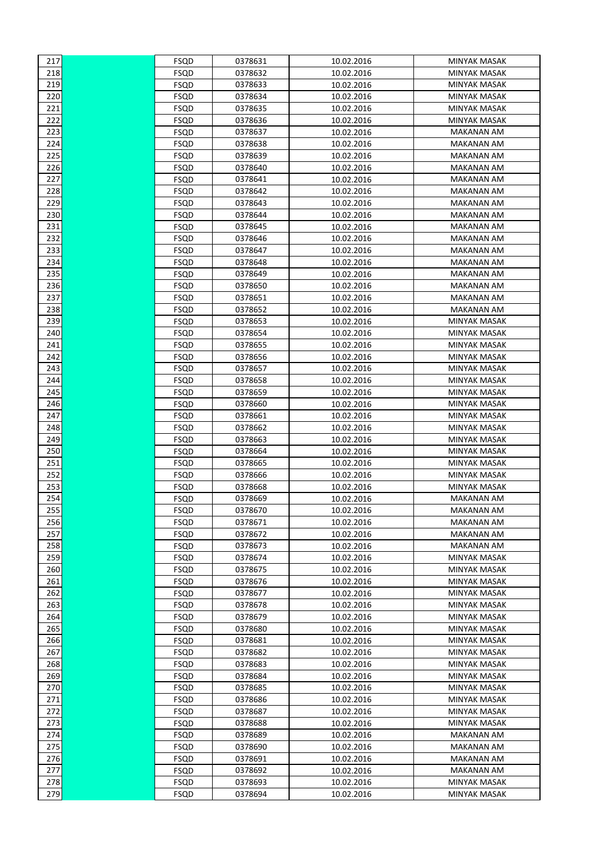| 217        | FSQD         | 0378631            | 10.02.2016               | MINYAK MASAK                        |
|------------|--------------|--------------------|--------------------------|-------------------------------------|
| 218        | FSQD         | 0378632            | 10.02.2016               | <b>MINYAK MASAK</b>                 |
| 219        | <b>FSQD</b>  | 0378633            | 10.02.2016               | <b>MINYAK MASAK</b>                 |
| 220        | <b>FSQD</b>  | 0378634            | 10.02.2016               | <b>MINYAK MASAK</b>                 |
| 221        | FSQD         | 0378635            | 10.02.2016               | MINYAK MASAK                        |
| 222        | FSQD         | 0378636            | 10.02.2016               | <b>MINYAK MASAK</b>                 |
| 223        | FSQD         | 0378637            | 10.02.2016               | <b>MAKANAN AM</b>                   |
| 224        | FSQD         | 0378638            | 10.02.2016               | <b>MAKANAN AM</b>                   |
| 225        | FSQD         | 0378639            | 10.02.2016               | <b>MAKANAN AM</b>                   |
| 226        | FSQD         | 0378640            | 10.02.2016               | <b>MAKANAN AM</b>                   |
| 227        | FSQD         | 0378641            | 10.02.2016               | <b>MAKANAN AM</b>                   |
| 228        | FSQD         | 0378642            | 10.02.2016               | <b>MAKANAN AM</b>                   |
| 229        | FSQD         | 0378643            | 10.02.2016               | MAKANAN AM                          |
| 230        | FSQD         | 0378644            | 10.02.2016               | MAKANAN AM                          |
| 231        | FSQD         | 0378645            | 10.02.2016               | <b>MAKANAN AM</b>                   |
| 232        | FSQD         | 0378646            | 10.02.2016               | <b>MAKANAN AM</b>                   |
| 233        | FSQD         | 0378647            | 10.02.2016               | MAKANAN AM                          |
| 234        | FSQD         | 0378648            | 10.02.2016               | MAKANAN AM                          |
| 235        | FSQD         | 0378649            | 10.02.2016               | MAKANAN AM                          |
| 236        | FSQD         | 0378650            | 10.02.2016               | MAKANAN AM                          |
| 237        | FSQD         | 0378651            | 10.02.2016               | <b>MAKANAN AM</b>                   |
| 238        | FSQD         | 0378652            | 10.02.2016               | MAKANAN AM                          |
| 239        | FSQD         | 0378653            | 10.02.2016               | MINYAK MASAK                        |
| 240        | FSQD         | 0378654            | 10.02.2016               | MINYAK MASAK                        |
| 241        | FSQD         | 0378655            | 10.02.2016               | MINYAK MASAK                        |
| 242        | FSQD         | 0378656            | 10.02.2016               | MINYAK MASAK                        |
| 243        | FSQD         | 0378657            | 10.02.2016               | MINYAK MASAK                        |
| 244        | FSQD         | 0378658            | 10.02.2016               | MINYAK MASAK                        |
| 245        | FSQD         | 0378659            | 10.02.2016               | MINYAK MASAK                        |
| 246        | FSQD         | 0378660            | 10.02.2016               | MINYAK MASAK                        |
| 247        | FSQD         | 0378661            | 10.02.2016               | MINYAK MASAK                        |
| 248        | FSQD         | 0378662            | 10.02.2016               | <b>MINYAK MASAK</b>                 |
| 249        | FSQD         | 0378663            | 10.02.2016               | <b>MINYAK MASAK</b>                 |
| 250        | FSQD         | 0378664            | 10.02.2016               | <b>MINYAK MASAK</b>                 |
| 251        | FSQD         | 0378665            | 10.02.2016               | MINYAK MASAK                        |
| 252        | FSQD         | 0378666            | 10.02.2016               | MINYAK MASAK                        |
| 253        | FSQD         | 0378668            | 10.02.2016               | <b>MINYAK MASAK</b>                 |
| 254        | FSQD         | 0378669            | 10.02.2016               | <b>MAKANAN AM</b>                   |
| 255        | FSQD         | 0378670            | 10.02.2016               | <b>MAKANAN AM</b>                   |
| 256        | FSQD         | 0378671            | 10.02.2016               | MAKANAN AM                          |
| 257        | FSQD         | 0378672            | 10.02.2016               | MAKANAN AM                          |
| 258        | FSQD         | 0378673            | 10.02.2016               | <b>MAKANAN AM</b>                   |
| 259        | FSQD         | 0378674            | 10.02.2016               |                                     |
|            |              |                    |                          | MINYAK MASAK<br><b>MINYAK MASAK</b> |
| 260        | FSQD         | 0378675            | 10.02.2016               |                                     |
| 261        | FSQD         | 0378676            | 10.02.2016<br>10.02.2016 | MINYAK MASAK<br><b>MINYAK MASAK</b> |
| 262        | FSQD<br>FSQD | 0378677            |                          | MINYAK MASAK                        |
| 263        |              | 0378678            | 10.02.2016               |                                     |
| 264<br>265 | FSQD<br>FSQD | 0378679<br>0378680 | 10.02.2016<br>10.02.2016 | MINYAK MASAK<br>MINYAK MASAK        |
| 266        |              | 0378681            |                          | MINYAK MASAK                        |
| 267        | FSQD         | 0378682            | 10.02.2016               |                                     |
|            | FSQD         |                    | 10.02.2016               | MINYAK MASAK                        |
| 268        | FSQD         | 0378683            | 10.02.2016               | MINYAK MASAK                        |
| 269        | FSQD         | 0378684            | 10.02.2016               | MINYAK MASAK                        |
| 270        | <b>FSQD</b>  | 0378685            | 10.02.2016               | MINYAK MASAK                        |
| 271        | FSQD         | 0378686            | 10.02.2016               | MINYAK MASAK                        |
| 272        | FSQD         | 0378687            | 10.02.2016               | MINYAK MASAK                        |
| 273        | FSQD         | 0378688            | 10.02.2016               | MINYAK MASAK                        |
| 274        | FSQD         | 0378689            | 10.02.2016               | MAKANAN AM                          |
| 275        | FSQD         | 0378690            | 10.02.2016               | MAKANAN AM                          |
| 276        | FSQD         | 0378691            | 10.02.2016               | MAKANAN AM                          |
| 277        | FSQD         | 0378692            | 10.02.2016               | MAKANAN AM                          |
| 278        | <b>FSQD</b>  | 0378693            | 10.02.2016               | <b>MINYAK MASAK</b>                 |
| 279        | FSQD         | 0378694            | 10.02.2016               | MINYAK MASAK                        |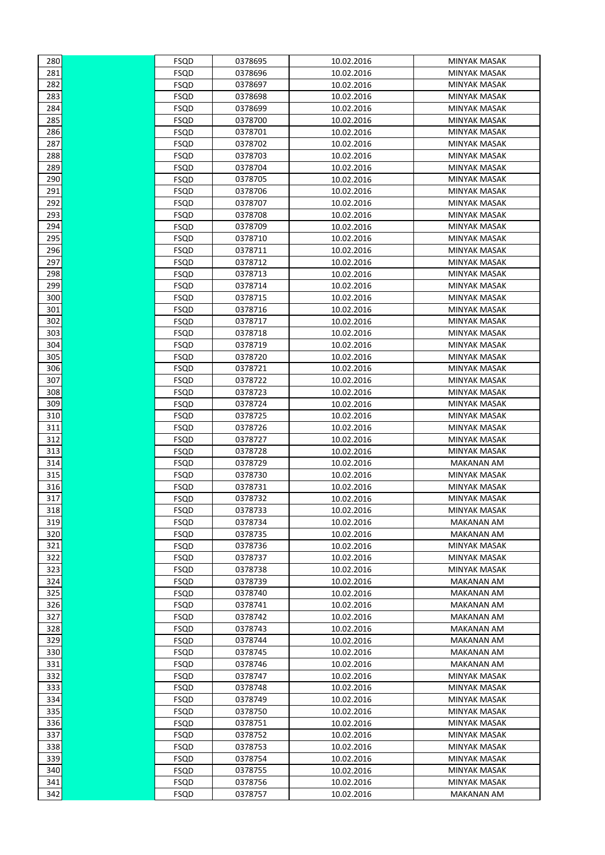| 280 | FSQD        | 0378695 | 10.02.2016 | <b>MINYAK MASAK</b> |
|-----|-------------|---------|------------|---------------------|
| 281 | <b>FSQD</b> | 0378696 | 10.02.2016 | <b>MINYAK MASAK</b> |
| 282 | FSQD        | 0378697 | 10.02.2016 | <b>MINYAK MASAK</b> |
| 283 | <b>FSQD</b> | 0378698 | 10.02.2016 | <b>MINYAK MASAK</b> |
| 284 | <b>FSQD</b> | 0378699 | 10.02.2016 | MINYAK MASAK        |
| 285 | <b>FSQD</b> | 0378700 | 10.02.2016 | MINYAK MASAK        |
| 286 | <b>FSQD</b> | 0378701 | 10.02.2016 | MINYAK MASAK        |
| 287 | <b>FSQD</b> | 0378702 | 10.02.2016 | MINYAK MASAK        |
| 288 | <b>FSQD</b> | 0378703 | 10.02.2016 | MINYAK MASAK        |
| 289 | <b>FSQD</b> | 0378704 | 10.02.2016 | <b>MINYAK MASAK</b> |
| 290 | <b>FSQD</b> | 0378705 | 10.02.2016 | <b>MINYAK MASAK</b> |
| 291 | FSQD        | 0378706 | 10.02.2016 | MINYAK MASAK        |
| 292 | <b>FSQD</b> | 0378707 | 10.02.2016 | <b>MINYAK MASAK</b> |
| 293 | <b>FSQD</b> | 0378708 | 10.02.2016 | <b>MINYAK MASAK</b> |
| 294 | FSQD        | 0378709 | 10.02.2016 | <b>MINYAK MASAK</b> |
| 295 | FSQD        | 0378710 | 10.02.2016 | MINYAK MASAK        |
| 296 | FSQD        | 0378711 | 10.02.2016 | MINYAK MASAK        |
| 297 | <b>FSQD</b> | 0378712 | 10.02.2016 | MINYAK MASAK        |
| 298 | <b>FSQD</b> | 0378713 | 10.02.2016 | <b>MINYAK MASAK</b> |
| 299 | <b>FSQD</b> | 0378714 | 10.02.2016 | <b>MINYAK MASAK</b> |
| 300 | <b>FSQD</b> | 0378715 | 10.02.2016 | MINYAK MASAK        |
| 301 | <b>FSQD</b> | 0378716 | 10.02.2016 | MINYAK MASAK        |
| 302 | FSQD        | 0378717 | 10.02.2016 | MINYAK MASAK        |
| 303 | FSQD        | 0378718 | 10.02.2016 | MINYAK MASAK        |
| 304 | FSQD        | 0378719 | 10.02.2016 | <b>MINYAK MASAK</b> |
| 305 | <b>FSQD</b> | 0378720 | 10.02.2016 | MINYAK MASAK        |
| 306 | <b>FSQD</b> | 0378721 | 10.02.2016 | <b>MINYAK MASAK</b> |
| 307 | <b>FSQD</b> | 0378722 | 10.02.2016 | MINYAK MASAK        |
| 308 | FSQD        | 0378723 | 10.02.2016 | MINYAK MASAK        |
| 309 | <b>FSQD</b> | 0378724 | 10.02.2016 | MINYAK MASAK        |
| 310 | <b>FSQD</b> | 0378725 | 10.02.2016 | <b>MINYAK MASAK</b> |
| 311 | <b>FSQD</b> | 0378726 | 10.02.2016 | <b>MINYAK MASAK</b> |
| 312 | FSQD        | 0378727 | 10.02.2016 | MINYAK MASAK        |
| 313 | FSQD        | 0378728 | 10.02.2016 | <b>MINYAK MASAK</b> |
| 314 | <b>FSQD</b> | 0378729 | 10.02.2016 | <b>MAKANAN AM</b>   |
| 315 | <b>FSQD</b> | 0378730 | 10.02.2016 | <b>MINYAK MASAK</b> |
| 316 | <b>FSQD</b> | 0378731 | 10.02.2016 | <b>MINYAK MASAK</b> |
| 317 | FSQD        | 0378732 | 10.02.2016 | <b>MINYAK MASAK</b> |
| 318 | FSQD        | 0378733 | 10.02.2016 | MINYAK MASAK        |
| 319 | FSQD        | 0378734 | 10.02.2016 | <b>MAKANAN AM</b>   |
| 320 | FSQD        | 0378735 | 10.02.2016 | <b>MAKANAN AM</b>   |
| 321 | FSQD        | 0378736 | 10.02.2016 | <b>MINYAK MASAK</b> |
| 322 | <b>FSQD</b> | 0378737 | 10.02.2016 | <b>MINYAK MASAK</b> |
| 323 | <b>FSQD</b> | 0378738 | 10.02.2016 | MINYAK MASAK        |
| 324 | <b>FSQD</b> | 0378739 | 10.02.2016 | <b>MAKANAN AM</b>   |
| 325 | FSQD        | 0378740 | 10.02.2016 | <b>MAKANAN AM</b>   |
| 326 | <b>FSQD</b> | 0378741 | 10.02.2016 | MAKANAN AM          |
| 327 | FSQD        | 0378742 | 10.02.2016 | <b>MAKANAN AM</b>   |
| 328 | FSQD        | 0378743 | 10.02.2016 | <b>MAKANAN AM</b>   |
| 329 | FSQD        | 0378744 | 10.02.2016 | MAKANAN AM          |
| 330 | FSQD        | 0378745 | 10.02.2016 | <b>MAKANAN AM</b>   |
| 331 | FSQD        | 0378746 | 10.02.2016 | <b>MAKANAN AM</b>   |
| 332 | <b>FSQD</b> | 0378747 | 10.02.2016 | <b>MINYAK MASAK</b> |
| 333 | <b>FSQD</b> | 0378748 | 10.02.2016 | MINYAK MASAK        |
| 334 | FSQD        | 0378749 | 10.02.2016 | MINYAK MASAK        |
| 335 | <b>FSQD</b> | 0378750 | 10.02.2016 | MINYAK MASAK        |
| 336 | FSQD        | 0378751 | 10.02.2016 | MINYAK MASAK        |
| 337 | FSQD        | 0378752 | 10.02.2016 | MINYAK MASAK        |
| 338 | FSQD        | 0378753 | 10.02.2016 | MINYAK MASAK        |
| 339 | <b>FSQD</b> | 0378754 | 10.02.2016 | MINYAK MASAK        |
| 340 | <b>FSQD</b> | 0378755 | 10.02.2016 | MINYAK MASAK        |
| 341 | <b>FSQD</b> | 0378756 | 10.02.2016 | <b>MINYAK MASAK</b> |
| 342 | FSQD        | 0378757 | 10.02.2016 | <b>MAKANAN AM</b>   |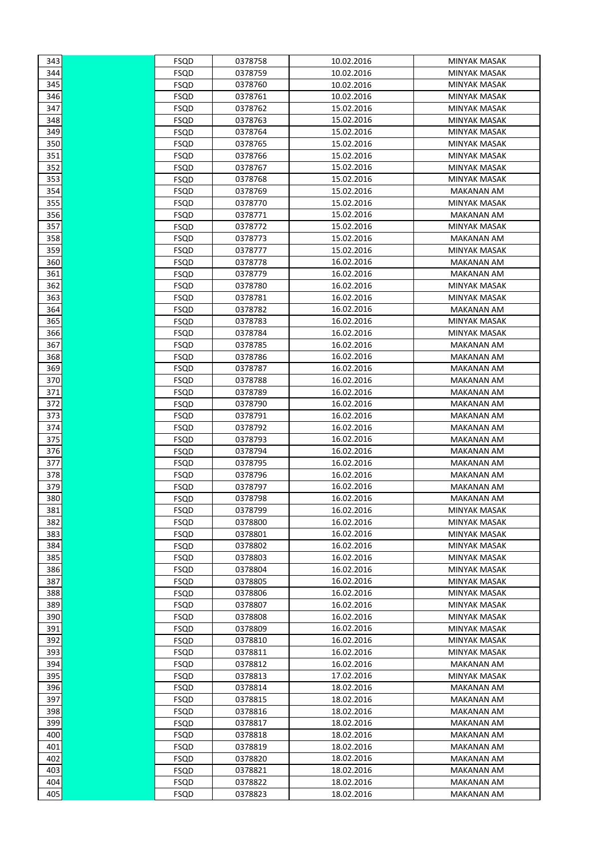| 343 | FSQD        | 0378758 | 10.02.2016 | MINYAK MASAK        |
|-----|-------------|---------|------------|---------------------|
| 344 | FSQD        | 0378759 | 10.02.2016 | MINYAK MASAK        |
| 345 | FSQD        | 0378760 | 10.02.2016 | MINYAK MASAK        |
| 346 | FSQD        | 0378761 | 10.02.2016 | MINYAK MASAK        |
| 347 | FSQD        | 0378762 | 15.02.2016 | <b>MINYAK MASAK</b> |
| 348 | FSQD        | 0378763 | 15.02.2016 | MINYAK MASAK        |
| 349 | FSQD        | 0378764 | 15.02.2016 | MINYAK MASAK        |
| 350 | FSQD        | 0378765 | 15.02.2016 | MINYAK MASAK        |
| 351 | FSQD        | 0378766 | 15.02.2016 | MINYAK MASAK        |
| 352 | FSQD        | 0378767 | 15.02.2016 | <b>MINYAK MASAK</b> |
| 353 | FSQD        | 0378768 | 15.02.2016 | MINYAK MASAK        |
| 354 | FSQD        | 0378769 | 15.02.2016 | <b>MAKANAN AM</b>   |
| 355 | FSQD        | 0378770 | 15.02.2016 | <b>MINYAK MASAK</b> |
| 356 | FSQD        | 0378771 | 15.02.2016 | MAKANAN AM          |
| 357 | FSQD        | 0378772 | 15.02.2016 | <b>MINYAK MASAK</b> |
| 358 | FSQD        | 0378773 | 15.02.2016 | <b>MAKANAN AM</b>   |
| 359 | FSQD        | 0378777 | 15.02.2016 | <b>MINYAK MASAK</b> |
| 360 | FSQD        | 0378778 | 16.02.2016 | MAKANAN AM          |
| 361 | FSQD        | 0378779 | 16.02.2016 | MAKANAN AM          |
| 362 | FSQD        | 0378780 | 16.02.2016 | MINYAK MASAK        |
| 363 | FSQD        | 0378781 | 16.02.2016 | <b>MINYAK MASAK</b> |
| 364 | FSQD        | 0378782 | 16.02.2016 | <b>MAKANAN AM</b>   |
| 365 | FSQD        | 0378783 | 16.02.2016 | <b>MINYAK MASAK</b> |
| 366 | FSQD        | 0378784 | 16.02.2016 | MINYAK MASAK        |
| 367 | FSQD        | 0378785 | 16.02.2016 | <b>MAKANAN AM</b>   |
| 368 | FSQD        | 0378786 | 16.02.2016 | <b>MAKANAN AM</b>   |
| 369 | FSQD        | 0378787 | 16.02.2016 | MAKANAN AM          |
| 370 | FSQD        | 0378788 | 16.02.2016 | MAKANAN AM          |
| 371 | FSQD        | 0378789 | 16.02.2016 | MAKANAN AM          |
| 372 | FSQD        | 0378790 | 16.02.2016 | <b>MAKANAN AM</b>   |
| 373 | FSQD        | 0378791 | 16.02.2016 | MAKANAN AM          |
| 374 | FSQD        | 0378792 | 16.02.2016 | MAKANAN AM          |
| 375 | FSQD        | 0378793 | 16.02.2016 | <b>MAKANAN AM</b>   |
| 376 | FSQD        | 0378794 | 16.02.2016 | <b>MAKANAN AM</b>   |
| 377 | FSQD        | 0378795 | 16.02.2016 | MAKANAN AM          |
| 378 | FSQD        | 0378796 | 16.02.2016 | MAKANAN AM          |
| 379 | FSQD        | 0378797 | 16.02.2016 | <b>MAKANAN AM</b>   |
| 380 | FSQD        | 0378798 | 16.02.2016 | <b>MAKANAN AM</b>   |
| 381 | <b>FSQD</b> | 0378799 | 16.02.2016 | MINYAK MASAK        |
| 382 | FSQD        | 0378800 | 16.02.2016 | MINYAK MASAK        |
| 383 | FSQD        | 0378801 | 16.02.2016 | <b>MINYAK MASAK</b> |
| 384 | FSQD        | 0378802 | 16.02.2016 | MINYAK MASAK        |
| 385 | FSQD        | 0378803 | 16.02.2016 | <b>MINYAK MASAK</b> |
| 386 | FSQD        | 0378804 | 16.02.2016 | <b>MINYAK MASAK</b> |
| 387 | FSQD        | 0378805 | 16.02.2016 | MINYAK MASAK        |
| 388 | FSQD        | 0378806 | 16.02.2016 | <b>MINYAK MASAK</b> |
| 389 | FSQD        | 0378807 | 16.02.2016 | MINYAK MASAK        |
| 390 | FSQD        | 0378808 | 16.02.2016 | MINYAK MASAK        |
| 391 | FSQD        | 0378809 | 16.02.2016 | MINYAK MASAK        |
| 392 | FSQD        | 0378810 | 16.02.2016 | MINYAK MASAK        |
| 393 | FSQD        | 0378811 | 16.02.2016 | MINYAK MASAK        |
| 394 | FSQD        | 0378812 | 16.02.2016 | MAKANAN AM          |
| 395 | FSQD        | 0378813 | 17.02.2016 | MINYAK MASAK        |
| 396 | FSQD        | 0378814 | 18.02.2016 | <b>MAKANAN AM</b>   |
| 397 | FSQD        | 0378815 | 18.02.2016 | <b>MAKANAN AM</b>   |
| 398 | FSQD        | 0378816 | 18.02.2016 | <b>MAKANAN AM</b>   |
| 399 | FSQD        | 0378817 | 18.02.2016 | <b>MAKANAN AM</b>   |
| 400 | FSQD        | 0378818 | 18.02.2016 | MAKANAN AM          |
| 401 | FSQD        | 0378819 | 18.02.2016 | <b>MAKANAN AM</b>   |
| 402 | FSQD        | 0378820 | 18.02.2016 | <b>MAKANAN AM</b>   |
| 403 | FSQD        | 0378821 | 18.02.2016 | MAKANAN AM          |
| 404 | FSQD        | 0378822 | 18.02.2016 | MAKANAN AM          |
| 405 | FSQD        | 0378823 | 18.02.2016 | MAKANAN AM          |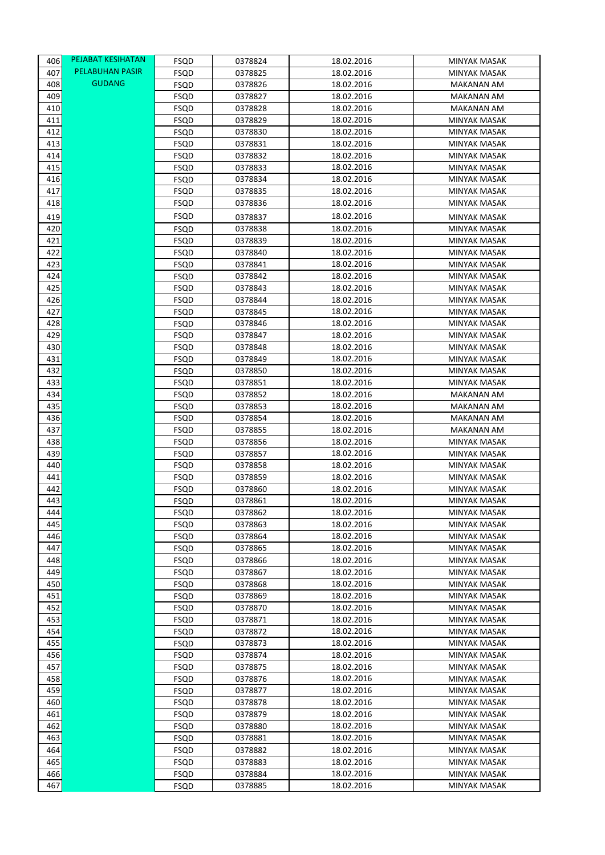| 406        | PEJABAT KESIHATAN | FSQD                       | 0378824            | 18.02.2016               | MINYAK MASAK                        |
|------------|-------------------|----------------------------|--------------------|--------------------------|-------------------------------------|
| 407        | PELABUHAN PASIR   | FSQD                       | 0378825            | 18.02.2016               | <b>MINYAK MASAK</b>                 |
| 408        | <b>GUDANG</b>     | <b>FSQD</b>                | 0378826            | 18.02.2016               | <b>MAKANAN AM</b>                   |
| 409        |                   | FSQD                       | 0378827            | 18.02.2016               | <b>MAKANAN AM</b>                   |
| 410        |                   | <b>FSQD</b>                | 0378828            | 18.02.2016               | <b>MAKANAN AM</b>                   |
| 411        |                   | FSQD                       | 0378829            | 18.02.2016               | <b>MINYAK MASAK</b>                 |
| 412        |                   | FSQD                       | 0378830            | 18.02.2016               | <b>MINYAK MASAK</b>                 |
| 413        |                   | FSQD                       | 0378831            | 18.02.2016               | MINYAK MASAK                        |
| 414        |                   | FSQD                       | 0378832            | 18.02.2016               | MINYAK MASAK                        |
| 415        |                   | FSQD                       | 0378833            | 18.02.2016               | <b>MINYAK MASAK</b>                 |
| 416        |                   | FSQD                       | 0378834            | 18.02.2016               | <b>MINYAK MASAK</b>                 |
| 417        |                   | FSQD                       | 0378835            | 18.02.2016               | MINYAK MASAK                        |
| 418        |                   | FSQD                       | 0378836            | 18.02.2016               | MINYAK MASAK                        |
| 419        |                   | FSQD                       | 0378837            | 18.02.2016               | MINYAK MASAK                        |
| 420        |                   | FSQD                       | 0378838            | 18.02.2016               | <b>MINYAK MASAK</b>                 |
| 421        |                   | <b>FSQD</b>                | 0378839            | 18.02.2016               | <b>MINYAK MASAK</b>                 |
| 422        |                   | FSQD                       | 0378840            | 18.02.2016               | <b>MINYAK MASAK</b>                 |
| 423        |                   | FSQD                       | 0378841            | 18.02.2016               | <b>MINYAK MASAK</b>                 |
| 424        |                   | FSQD                       | 0378842            | 18.02.2016               | <b>MINYAK MASAK</b>                 |
| 425        |                   | FSQD                       | 0378843            | 18.02.2016               | <b>MINYAK MASAK</b>                 |
| 426<br>427 |                   | FSQD                       | 0378844<br>0378845 | 18.02.2016<br>18.02.2016 | <b>MINYAK MASAK</b>                 |
| 428        |                   | FSQD<br>FSQD               | 0378846            | 18.02.2016               | MINYAK MASAK<br><b>MINYAK MASAK</b> |
| 429        |                   | FSQD                       | 0378847            | 18.02.2016               | MINYAK MASAK                        |
| 430        |                   | <b>FSQD</b>                | 0378848            | 18.02.2016               | <b>MINYAK MASAK</b>                 |
| 431        |                   | <b>FSQD</b>                | 0378849            | 18.02.2016               | <b>MINYAK MASAK</b>                 |
| 432        |                   | FSQD                       | 0378850            | 18.02.2016               | MINYAK MASAK                        |
| 433        |                   | FSQD                       | 0378851            | 18.02.2016               | MINYAK MASAK                        |
| 434        |                   | FSQD                       | 0378852            | 18.02.2016               | MAKANAN AM                          |
| 435        |                   | FSQD                       | 0378853            | 18.02.2016               | MAKANAN AM                          |
| 436        |                   | FSQD                       | 0378854            | 18.02.2016               | MAKANAN AM                          |
| 437        |                   | FSQD                       | 0378855            | 18.02.2016               | <b>MAKANAN AM</b>                   |
| 438        |                   | <b>FSQD</b>                | 0378856            | 18.02.2016               | <b>MINYAK MASAK</b>                 |
| 439        |                   | <b>FSQD</b>                | 0378857            | 18.02.2016               | <b>MINYAK MASAK</b>                 |
| 440        |                   | <b>FSQD</b>                | 0378858            | 18.02.2016               | <b>MINYAK MASAK</b>                 |
| 441        |                   | FSQD                       | 0378859            | 18.02.2016               | MINYAK MASAK                        |
| 442        |                   | FSQD                       | 0378860            | 18.02.2016               | <b>MINYAK MASAK</b>                 |
| 443        |                   | FSQD                       | 0378861<br>0378862 | 18.02.2016<br>18.02.2016 | MINYAK MASAK                        |
| 444<br>445 |                   | FSQD<br>FSQD               | 0378863            | 18.02.2016               | MINYAK MASAK<br>MINYAK MASAK        |
| 446        |                   | <b>FSQD</b>                | 0378864            | 18.02.2016               | <b>MINYAK MASAK</b>                 |
| 447        |                   | <b>FSQD</b>                | 0378865            | 18.02.2016               | MINYAK MASAK                        |
| 448        |                   | <b>FSQD</b>                | 0378866            | 18.02.2016               | MINYAK MASAK                        |
| 449        |                   | <b>FSQD</b>                | 0378867            | 18.02.2016               | MINYAK MASAK                        |
| 450        |                   | <b>FSQD</b>                | 0378868            | 18.02.2016               | MINYAK MASAK                        |
| 451        |                   | FSQD                       | 0378869            | 18.02.2016               | MINYAK MASAK                        |
| 452        |                   | <b>FSQD</b>                | 0378870            | 18.02.2016               | <b>MINYAK MASAK</b>                 |
| 453        |                   | FSQD                       | 0378871            | 18.02.2016               | <b>MINYAK MASAK</b>                 |
| 454        |                   | <b>FSQD</b>                | 0378872            | 18.02.2016               | MINYAK MASAK                        |
| 455        |                   | <b>FSQD</b>                | 0378873            | 18.02.2016               | MINYAK MASAK                        |
| 456        |                   | <b>FSQD</b>                | 0378874            | 18.02.2016               | MINYAK MASAK                        |
| 457        |                   | <b>FSQD</b>                | 0378875            | 18.02.2016               | MINYAK MASAK                        |
| 458        |                   | <b>FSQD</b>                | 0378876            | 18.02.2016               | MINYAK MASAK                        |
| 459        |                   | <b>FSQD</b>                | 0378877            | 18.02.2016               | MINYAK MASAK                        |
| 460<br>461 |                   | <b>FSQD</b>                | 0378878<br>0378879 | 18.02.2016<br>18.02.2016 | MINYAK MASAK<br>MINYAK MASAK        |
| 462        |                   | <b>FSQD</b><br><b>FSQD</b> | 0378880            | 18.02.2016               | MINYAK MASAK                        |
| 463        |                   | <b>FSQD</b>                | 0378881            | 18.02.2016               | MINYAK MASAK                        |
| 464        |                   | <b>FSQD</b>                | 0378882            | 18.02.2016               | MINYAK MASAK                        |
| 465        |                   | <b>FSQD</b>                | 0378883            | 18.02.2016               | MINYAK MASAK                        |
| 466        |                   | FSQD                       | 0378884            | 18.02.2016               | MINYAK MASAK                        |
| 467        |                   | <b>FSQD</b>                | 0378885            | 18.02.2016               | MINYAK MASAK                        |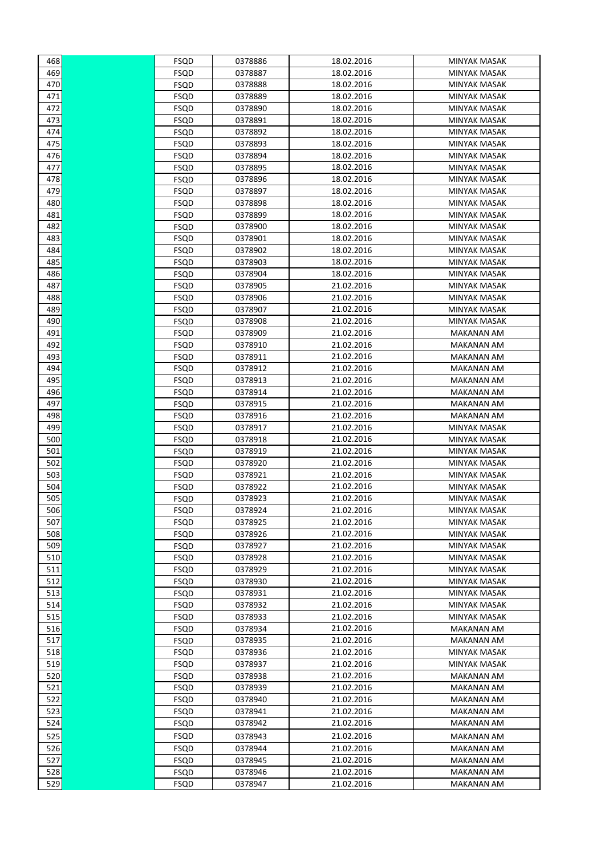| 468 | FSQD        | 0378886 | 18.02.2016 | MINYAK MASAK        |
|-----|-------------|---------|------------|---------------------|
| 469 | FSQD        | 0378887 | 18.02.2016 | <b>MINYAK MASAK</b> |
| 470 | FSQD        | 0378888 | 18.02.2016 | <b>MINYAK MASAK</b> |
| 471 | <b>FSQD</b> | 0378889 | 18.02.2016 | <b>MINYAK MASAK</b> |
| 472 | FSQD        | 0378890 | 18.02.2016 | <b>MINYAK MASAK</b> |
| 473 | FSQD        | 0378891 | 18.02.2016 | MINYAK MASAK        |
| 474 | FSQD        | 0378892 | 18.02.2016 | MINYAK MASAK        |
| 475 | FSQD        | 0378893 | 18.02.2016 | <b>MINYAK MASAK</b> |
| 476 | FSQD        | 0378894 | 18.02.2016 | MINYAK MASAK        |
| 477 | FSQD        | 0378895 | 18.02.2016 | MINYAK MASAK        |
| 478 | FSQD        | 0378896 | 18.02.2016 | <b>MINYAK MASAK</b> |
| 479 | FSQD        | 0378897 | 18.02.2016 | <b>MINYAK MASAK</b> |
| 480 | FSQD        | 0378898 | 18.02.2016 | MINYAK MASAK        |
| 481 | FSQD        | 0378899 | 18.02.2016 | MINYAK MASAK        |
| 482 | FSQD        | 0378900 | 18.02.2016 | <b>MINYAK MASAK</b> |
| 483 | FSQD        | 0378901 | 18.02.2016 | <b>MINYAK MASAK</b> |
| 484 | FSQD        | 0378902 | 18.02.2016 | MINYAK MASAK        |
| 485 | FSQD        | 0378903 | 18.02.2016 | MINYAK MASAK        |
| 486 | FSQD        | 0378904 | 18.02.2016 | <b>MINYAK MASAK</b> |
| 487 | FSQD        | 0378905 | 21.02.2016 | <b>MINYAK MASAK</b> |
| 488 | FSQD        | 0378906 | 21.02.2016 | <b>MINYAK MASAK</b> |
| 489 | FSQD        | 0378907 | 21.02.2016 | MINYAK MASAK        |
| 490 | FSQD        | 0378908 | 21.02.2016 | <b>MINYAK MASAK</b> |
| 491 | FSQD        | 0378909 | 21.02.2016 | <b>MAKANAN AM</b>   |
| 492 | FSQD        | 0378910 | 21.02.2016 | <b>MAKANAN AM</b>   |
| 493 | FSQD        | 0378911 | 21.02.2016 | MAKANAN AM          |
| 494 | FSQD        | 0378912 | 21.02.2016 | <b>MAKANAN AM</b>   |
| 495 | FSQD        | 0378913 | 21.02.2016 | <b>MAKANAN AM</b>   |
| 496 | FSQD        | 0378914 | 21.02.2016 | <b>MAKANAN AM</b>   |
| 497 | FSQD        | 0378915 | 21.02.2016 | <b>MAKANAN AM</b>   |
| 498 | FSQD        | 0378916 | 21.02.2016 | <b>MAKANAN AM</b>   |
| 499 | FSQD        | 0378917 | 21.02.2016 | <b>MINYAK MASAK</b> |
| 500 | FSQD        | 0378918 | 21.02.2016 | <b>MINYAK MASAK</b> |
| 501 | FSQD        | 0378919 | 21.02.2016 | MINYAK MASAK        |
| 502 | FSQD        | 0378920 | 21.02.2016 | MINYAK MASAK        |
| 503 | FSQD        | 0378921 | 21.02.2016 | MINYAK MASAK        |
| 504 | FSQD        | 0378922 | 21.02.2016 | <b>MINYAK MASAK</b> |
| 505 | FSQD        | 0378923 | 21.02.2016 | <b>MINYAK MASAK</b> |
| 506 | FSQD        | 0378924 | 21.02.2016 | <b>MINYAK MASAK</b> |
| 507 | FSQD        | 0378925 | 21.02.2016 | MINYAK MASAK        |
| 508 | FSQD        | 0378926 | 21.02.2016 | MINYAK MASAK        |
| 509 | <b>FSQD</b> | 0378927 | 21.02.2016 | MINYAK MASAK        |
| 510 | <b>FSQD</b> | 0378928 | 21.02.2016 | <b>MINYAK MASAK</b> |
| 511 | <b>FSQD</b> | 0378929 | 21.02.2016 | MINYAK MASAK        |
| 512 | <b>FSQD</b> | 0378930 | 21.02.2016 | MINYAK MASAK        |
| 513 | FSQD        | 0378931 | 21.02.2016 | MINYAK MASAK        |
| 514 | <b>FSQD</b> | 0378932 | 21.02.2016 | MINYAK MASAK        |
| 515 | <b>FSQD</b> | 0378933 | 21.02.2016 | MINYAK MASAK        |
| 516 | <b>FSQD</b> | 0378934 | 21.02.2016 | MAKANAN AM          |
| 517 | FSQD        | 0378935 | 21.02.2016 | MAKANAN AM          |
| 518 | FSQD        | 0378936 | 21.02.2016 | MINYAK MASAK        |
| 519 | FSQD        | 0378937 | 21.02.2016 | MINYAK MASAK        |
| 520 | FSQD        | 0378938 | 21.02.2016 | <b>MAKANAN AM</b>   |
| 521 | FSQD        | 0378939 | 21.02.2016 | <b>MAKANAN AM</b>   |
| 522 | FSQD        | 0378940 | 21.02.2016 | <b>MAKANAN AM</b>   |
| 523 | FSQD        | 0378941 | 21.02.2016 | <b>MAKANAN AM</b>   |
| 524 | FSQD        | 0378942 | 21.02.2016 | <b>MAKANAN AM</b>   |
| 525 | FSQD        | 0378943 | 21.02.2016 | <b>MAKANAN AM</b>   |
| 526 | FSQD        | 0378944 | 21.02.2016 | <b>MAKANAN AM</b>   |
| 527 | FSQD        | 0378945 | 21.02.2016 | <b>MAKANAN AM</b>   |
| 528 | FSQD        | 0378946 | 21.02.2016 | <b>MAKANAN AM</b>   |
| 529 | <b>FSQD</b> | 0378947 | 21.02.2016 | <b>MAKANAN AM</b>   |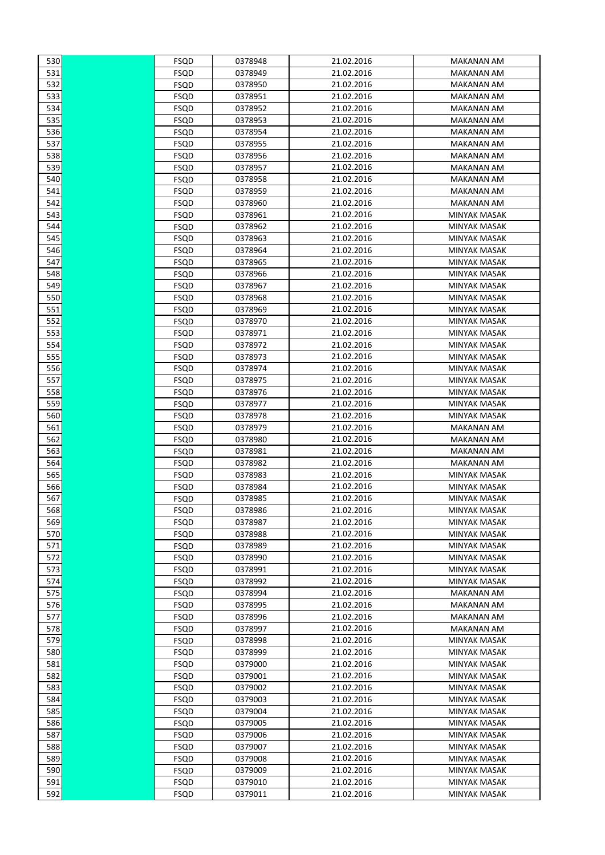| 530        | FSQD        | 0378948            | 21.02.2016 | MAKANAN AM          |
|------------|-------------|--------------------|------------|---------------------|
| 531        | FSQD        | 0378949            | 21.02.2016 | MAKANAN AM          |
| 532        | <b>FSQD</b> | 0378950            | 21.02.2016 | MAKANAN AM          |
| 533        | FSQD        | 0378951            | 21.02.2016 | MAKANAN AM          |
| 534        | FSQD        | 0378952            | 21.02.2016 | <b>MAKANAN AM</b>   |
| 535        | FSQD        | 0378953            | 21.02.2016 | MAKANAN AM          |
| 536        | FSQD        | 0378954            | 21.02.2016 | <b>MAKANAN AM</b>   |
| 537        | FSQD        | 0378955            | 21.02.2016 | MAKANAN AM          |
| 538        | FSQD        | 0378956            | 21.02.2016 | MAKANAN AM          |
| 539        | FSQD        | 0378957            | 21.02.2016 | <b>MAKANAN AM</b>   |
| 540        | FSQD        | 0378958            | 21.02.2016 | MAKANAN AM          |
| 541        | FSQD        | 0378959            | 21.02.2016 | <b>MAKANAN AM</b>   |
| 542        | FSQD        | 0378960            | 21.02.2016 | MAKANAN AM          |
| 543        | FSQD        | 0378961            | 21.02.2016 | <b>MINYAK MASAK</b> |
| 544        | FSQD        | 0378962            | 21.02.2016 | <b>MINYAK MASAK</b> |
| 545        | <b>FSQD</b> | 0378963            | 21.02.2016 | MINYAK MASAK        |
| 546        | FSQD        | 0378964            | 21.02.2016 | MINYAK MASAK        |
| 547        | FSQD        | 0378965            | 21.02.2016 | <b>MINYAK MASAK</b> |
| 548        | FSQD        | 0378966            | 21.02.2016 | <b>MINYAK MASAK</b> |
| 549        | FSQD        | 0378967            | 21.02.2016 | <b>MINYAK MASAK</b> |
| 550        | FSQD        | 0378968            | 21.02.2016 | MINYAK MASAK        |
| 551        | FSQD        | 0378969            | 21.02.2016 | MINYAK MASAK        |
| 552        | FSQD        | 0378970            | 21.02.2016 | MINYAK MASAK        |
| 553        | FSQD        | 0378971            | 21.02.2016 | MINYAK MASAK        |
| 554        | FSQD        | 0378972            | 21.02.2016 | MINYAK MASAK        |
| 555        | FSQD        | 0378973            | 21.02.2016 | MINYAK MASAK        |
| 556        | FSQD        | 0378974            | 21.02.2016 | MINYAK MASAK        |
| 557        | FSQD        | 0378975            | 21.02.2016 | MINYAK MASAK        |
| 558        | FSQD        | 0378976            | 21.02.2016 | MINYAK MASAK        |
| 559        | FSQD        | 0378977            | 21.02.2016 | <b>MINYAK MASAK</b> |
| 560        | FSQD        | 0378978            | 21.02.2016 | <b>MINYAK MASAK</b> |
| 561        | FSQD        | 0378979            | 21.02.2016 | <b>MAKANAN AM</b>   |
| 562        | FSQD        | 0378980            | 21.02.2016 | MAKANAN AM          |
| 563        | FSQD        | 0378981            | 21.02.2016 | MAKANAN AM          |
| 564        | FSQD        | 0378982            | 21.02.2016 | <b>MAKANAN AM</b>   |
| 565        | FSQD        | 0378983            | 21.02.2016 | MINYAK MASAK        |
| 566        | FSQD        | 0378984            | 21.02.2016 | <b>MINYAK MASAK</b> |
| 567        | FSQD        | 0378985            | 21.02.2016 | <b>MINYAK MASAK</b> |
| 568        | FSQD        | 0378986            | 21.02.2016 | MINYAK MASAK        |
| 569        | FSQD        | 0378987            | 21.02.2016 | MINYAK MASAK        |
| 570        |             | 0378988            | 21.02.2016 | <b>MINYAK MASAK</b> |
| 571        | FSQD        | 0378989            | 21.02.2016 |                     |
|            | FSQD        |                    | 21.02.2016 | MINYAK MASAK        |
| 572        | FSQD        | 0378990            |            | MINYAK MASAK        |
| 573<br>574 | FSQD        | 0378991<br>0378992 | 21.02.2016 | <b>MINYAK MASAK</b> |
|            | FSQD        |                    | 21.02.2016 | MINYAK MASAK        |
| 575        | FSQD        | 0378994            | 21.02.2016 | MAKANAN AM          |
| 576        | FSQD        | 0378995            | 21.02.2016 | MAKANAN AM          |
| 577        | FSQD        | 0378996            | 21.02.2016 | MAKANAN AM          |
| 578        | FSQD        | 0378997            | 21.02.2016 | MAKANAN AM          |
| 579        | FSQD        | 0378998            | 21.02.2016 | <b>MINYAK MASAK</b> |
| 580        | FSQD        | 0378999            | 21.02.2016 | MINYAK MASAK        |
| 581        | FSQD        | 0379000            | 21.02.2016 | MINYAK MASAK        |
| 582        | FSQD        | 0379001            | 21.02.2016 | MINYAK MASAK        |
| 583        | FSQD        | 0379002            | 21.02.2016 | MINYAK MASAK        |
| 584        | FSQD        | 0379003            | 21.02.2016 | MINYAK MASAK        |
| 585        | FSQD        | 0379004            | 21.02.2016 | MINYAK MASAK        |
| 586        | FSQD        | 0379005            | 21.02.2016 | MINYAK MASAK        |
| 587        | FSQD        | 0379006            | 21.02.2016 | MINYAK MASAK        |
| 588        | FSQD        | 0379007            | 21.02.2016 | MINYAK MASAK        |
| 589        | FSQD        | 0379008            | 21.02.2016 | MINYAK MASAK        |
| 590        | FSQD        | 0379009            | 21.02.2016 | MINYAK MASAK        |
| 591        | FSQD        | 0379010            | 21.02.2016 | MINYAK MASAK        |
| 592        | FSQD        | 0379011            | 21.02.2016 | MINYAK MASAK        |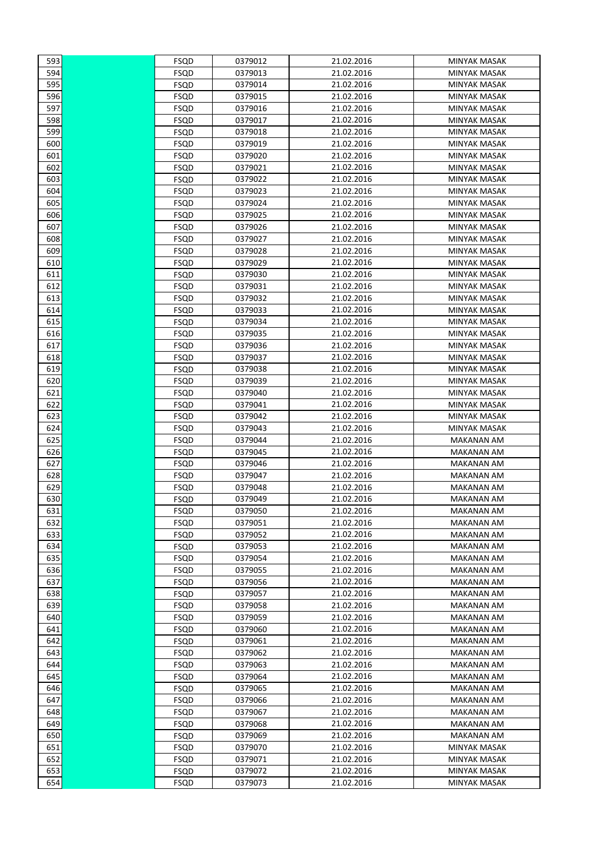| 593 | FSQD        | 0379012 | 21.02.2016 | <b>MINYAK MASAK</b> |
|-----|-------------|---------|------------|---------------------|
| 594 | <b>FSQD</b> | 0379013 | 21.02.2016 | <b>MINYAK MASAK</b> |
| 595 | <b>FSQD</b> | 0379014 | 21.02.2016 | <b>MINYAK MASAK</b> |
| 596 | FSQD        | 0379015 | 21.02.2016 | <b>MINYAK MASAK</b> |
| 597 | <b>FSQD</b> | 0379016 | 21.02.2016 | MINYAK MASAK        |
| 598 | <b>FSQD</b> | 0379017 | 21.02.2016 | <b>MINYAK MASAK</b> |
| 599 | FSQD        | 0379018 | 21.02.2016 | MINYAK MASAK        |
| 600 | FSQD        | 0379019 | 21.02.2016 | MINYAK MASAK        |
| 601 | FSQD        | 0379020 | 21.02.2016 | <b>MINYAK MASAK</b> |
| 602 | <b>FSQD</b> | 0379021 | 21.02.2016 | <b>MINYAK MASAK</b> |
| 603 | <b>FSQD</b> | 0379022 | 21.02.2016 | <b>MINYAK MASAK</b> |
| 604 | FSQD        | 0379023 | 21.02.2016 | <b>MINYAK MASAK</b> |
| 605 | <b>FSQD</b> | 0379024 | 21.02.2016 | MINYAK MASAK        |
| 606 | <b>FSQD</b> | 0379025 | 21.02.2016 | MINYAK MASAK        |
| 607 | FSQD        | 0379026 | 21.02.2016 | MINYAK MASAK        |
| 608 | <b>FSQD</b> | 0379027 | 21.02.2016 | <b>MINYAK MASAK</b> |
| 609 | <b>FSQD</b> | 0379028 | 21.02.2016 | <b>MINYAK MASAK</b> |
| 610 | <b>FSQD</b> | 0379029 | 21.02.2016 | <b>MINYAK MASAK</b> |
| 611 | <b>FSQD</b> | 0379030 | 21.02.2016 | MINYAK MASAK        |
| 612 | <b>FSQD</b> | 0379031 | 21.02.2016 | MINYAK MASAK        |
| 613 | <b>FSQD</b> | 0379032 | 21.02.2016 | <b>MINYAK MASAK</b> |
| 614 | <b>FSQD</b> | 0379033 | 21.02.2016 | <b>MINYAK MASAK</b> |
| 615 | FSQD        | 0379034 | 21.02.2016 | <b>MINYAK MASAK</b> |
| 616 | <b>FSQD</b> | 0379035 | 21.02.2016 | MINYAK MASAK        |
| 617 | FSQD        | 0379036 | 21.02.2016 | MINYAK MASAK        |
| 618 | FSQD        | 0379037 | 21.02.2016 | MINYAK MASAK        |
| 619 | FSQD        | 0379038 | 21.02.2016 | <b>MINYAK MASAK</b> |
| 620 | FSQD        | 0379039 | 21.02.2016 | <b>MINYAK MASAK</b> |
| 621 | <b>FSQD</b> | 0379040 | 21.02.2016 | MINYAK MASAK        |
| 622 | FSQD        | 0379041 | 21.02.2016 | MINYAK MASAK        |
| 623 | FSQD        | 0379042 | 21.02.2016 | MINYAK MASAK        |
| 624 | <b>FSQD</b> | 0379043 | 21.02.2016 | MINYAK MASAK        |
| 625 | <b>FSQD</b> | 0379044 | 21.02.2016 | <b>MAKANAN AM</b>   |
| 626 | <b>FSQD</b> | 0379045 | 21.02.2016 | <b>MAKANAN AM</b>   |
| 627 | <b>FSQD</b> | 0379046 | 21.02.2016 | <b>MAKANAN AM</b>   |
| 628 | <b>FSQD</b> | 0379047 | 21.02.2016 | <b>MAKANAN AM</b>   |
| 629 | FSQD        | 0379048 | 21.02.2016 | MAKANAN AM          |
| 630 | <b>FSQD</b> | 0379049 | 21.02.2016 | <b>MAKANAN AM</b>   |
| 631 | FSQD        | 0379050 | 21.02.2016 | <b>MAKANAN AM</b>   |
| 632 | FSQD        | 0379051 | 21.02.2016 | MAKANAN AM          |
| 633 | FSQD        | 0379052 | 21.02.2016 | <b>MAKANAN AM</b>   |
| 634 | FSQD        | 0379053 | 21.02.2016 | <b>MAKANAN AM</b>   |
| 635 | FSQD        | 0379054 | 21.02.2016 | <b>MAKANAN AM</b>   |
| 636 | FSQD        | 0379055 | 21.02.2016 | <b>MAKANAN AM</b>   |
| 637 | FSQD        | 0379056 | 21.02.2016 | <b>MAKANAN AM</b>   |
| 638 | FSQD        | 0379057 | 21.02.2016 | <b>MAKANAN AM</b>   |
| 639 | FSQD        | 0379058 | 21.02.2016 | <b>MAKANAN AM</b>   |
| 640 | FSQD        | 0379059 | 21.02.2016 | <b>MAKANAN AM</b>   |
| 641 | FSQD        | 0379060 | 21.02.2016 | MAKANAN AM          |
| 642 | <b>FSQD</b> | 0379061 | 21.02.2016 | <b>MAKANAN AM</b>   |
| 643 | FSQD        | 0379062 | 21.02.2016 | <b>MAKANAN AM</b>   |
| 644 | FSQD        | 0379063 | 21.02.2016 | <b>MAKANAN AM</b>   |
| 645 | FSQD        | 0379064 | 21.02.2016 | MAKANAN AM          |
| 646 | FSQD        | 0379065 | 21.02.2016 | MAKANAN AM          |
| 647 | <b>FSQD</b> | 0379066 | 21.02.2016 | <b>MAKANAN AM</b>   |
| 648 | <b>FSQD</b> | 0379067 | 21.02.2016 | <b>MAKANAN AM</b>   |
| 649 | FSQD        | 0379068 | 21.02.2016 | <b>MAKANAN AM</b>   |
| 650 | FSQD        | 0379069 | 21.02.2016 | MAKANAN AM          |
| 651 | FSQD        | 0379070 | 21.02.2016 | MINYAK MASAK        |
| 652 | FSQD        | 0379071 | 21.02.2016 | MINYAK MASAK        |
| 653 | FSQD        | 0379072 | 21.02.2016 | MINYAK MASAK        |
| 654 | FSQD        | 0379073 | 21.02.2016 | MINYAK MASAK        |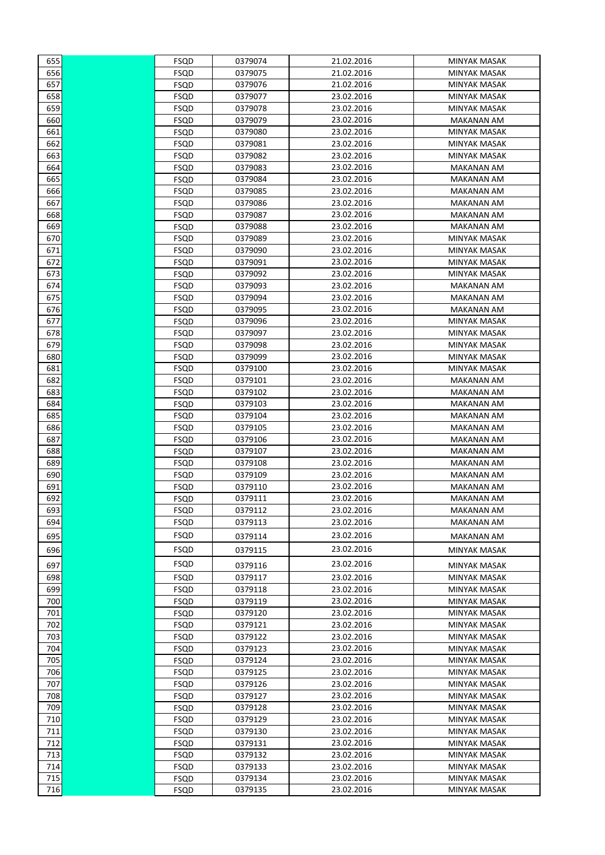| 655 | FSQD         | 0379074 | 21.02.2016 | <b>MINYAK MASAK</b>             |
|-----|--------------|---------|------------|---------------------------------|
| 656 | FSQD         | 0379075 | 21.02.2016 | <b>MINYAK MASAK</b>             |
| 657 | FSQD         | 0379076 | 21.02.2016 | <b>MINYAK MASAK</b>             |
| 658 | FSQD         | 0379077 | 23.02.2016 | <b>MINYAK MASAK</b>             |
| 659 | <b>FSQD</b>  | 0379078 | 23.02.2016 | <b>MINYAK MASAK</b>             |
| 660 | FSQD         | 0379079 | 23.02.2016 | <b>MAKANAN AM</b>               |
| 661 | FSQD         | 0379080 | 23.02.2016 | <b>MINYAK MASAK</b>             |
| 662 | FSQD         | 0379081 | 23.02.2016 | MINYAK MASAK                    |
| 663 | FSQD         | 0379082 | 23.02.2016 | MINYAK MASAK                    |
| 664 | FSQD         | 0379083 | 23.02.2016 | <b>MAKANAN AM</b>               |
| 665 | FSQD         | 0379084 | 23.02.2016 | <b>MAKANAN AM</b>               |
| 666 | FSQD         | 0379085 | 23.02.2016 | <b>MAKANAN AM</b>               |
| 667 | FSQD         | 0379086 | 23.02.2016 | MAKANAN AM                      |
| 668 | FSQD         | 0379087 | 23.02.2016 | <b>MAKANAN AM</b>               |
| 669 | FSQD         | 0379088 | 23.02.2016 | <b>MAKANAN AM</b>               |
| 670 | FSQD         | 0379089 | 23.02.2016 | MINYAK MASAK                    |
| 671 | FSQD         | 0379090 | 23.02.2016 | MINYAK MASAK                    |
| 672 | FSQD         | 0379091 | 23.02.2016 | <b>MINYAK MASAK</b>             |
| 673 | FSQD         | 0379092 | 23.02.2016 | <b>MINYAK MASAK</b>             |
| 674 | FSQD         | 0379093 | 23.02.2016 | <b>MAKANAN AM</b>               |
| 675 | FSQD         | 0379094 | 23.02.2016 | MAKANAN AM                      |
| 676 | FSQD         | 0379095 | 23.02.2016 | MAKANAN AM                      |
| 677 | FSQD         | 0379096 | 23.02.2016 | MINYAK MASAK                    |
| 678 | FSQD         | 0379097 | 23.02.2016 | MINYAK MASAK                    |
| 679 | FSQD         | 0379098 | 23.02.2016 | <b>MINYAK MASAK</b>             |
| 680 | FSQD         | 0379099 | 23.02.2016 | MINYAK MASAK                    |
| 681 | FSQD         | 0379100 | 23.02.2016 | MINYAK MASAK                    |
| 682 | FSQD         | 0379101 | 23.02.2016 | <b>MAKANAN AM</b>               |
| 683 |              | 0379102 | 23.02.2016 |                                 |
| 684 | FSQD<br>FSQD | 0379103 | 23.02.2016 | MAKANAN AM<br><b>MAKANAN AM</b> |
| 685 | FSQD         | 0379104 | 23.02.2016 | <b>MAKANAN AM</b>               |
| 686 |              | 0379105 | 23.02.2016 | <b>MAKANAN AM</b>               |
| 687 | FSQD<br>FSQD | 0379106 | 23.02.2016 | MAKANAN AM                      |
| 688 | FSQD         | 0379107 | 23.02.2016 | <b>MAKANAN AM</b>               |
| 689 | FSQD         | 0379108 | 23.02.2016 | MAKANAN AM                      |
| 690 | FSQD         | 0379109 | 23.02.2016 | MAKANAN AM                      |
| 691 | FSQD         | 0379110 | 23.02.2016 | <b>MAKANAN AM</b>               |
| 692 | FSQD         | 0379111 | 23.02.2016 | <b>MAKANAN AM</b>               |
| 693 | FSQD         | 0379112 | 23.02.2016 | <b>MAKANAN AM</b>               |
| 694 | FSQD         | 0379113 | 23.02.2016 | MAKANAN AM                      |
|     |              |         |            |                                 |
| 695 | FSQD         | 0379114 | 23.02.2016 | <b>MAKANAN AM</b>               |
| 696 | FSQD         | 0379115 | 23.02.2016 | MINYAK MASAK                    |
| 697 | FSQD         | 0379116 | 23.02.2016 | MINYAK MASAK                    |
| 698 | FSQD         | 0379117 | 23.02.2016 | MINYAK MASAK                    |
| 699 | <b>FSQD</b>  | 0379118 | 23.02.2016 | <b>MINYAK MASAK</b>             |
| 700 | FSQD         | 0379119 | 23.02.2016 | MINYAK MASAK                    |
| 701 | FSQD         | 0379120 | 23.02.2016 | MINYAK MASAK                    |
| 702 | FSQD         | 0379121 | 23.02.2016 | MINYAK MASAK                    |
| 703 | FSQD         | 0379122 | 23.02.2016 | MINYAK MASAK                    |
| 704 | <b>FSQD</b>  | 0379123 | 23.02.2016 | MINYAK MASAK                    |
| 705 | FSQD         | 0379124 | 23.02.2016 | MINYAK MASAK                    |
| 706 | FSQD         | 0379125 | 23.02.2016 | MINYAK MASAK                    |
| 707 | FSQD         | 0379126 | 23.02.2016 | MINYAK MASAK                    |
| 708 | FSQD         | 0379127 | 23.02.2016 | MINYAK MASAK                    |
| 709 | FSQD         | 0379128 | 23.02.2016 | MINYAK MASAK                    |
| 710 | FSQD         | 0379129 | 23.02.2016 | MINYAK MASAK                    |
| 711 | FSQD         | 0379130 | 23.02.2016 | MINYAK MASAK                    |
| 712 | FSQD         | 0379131 | 23.02.2016 | MINYAK MASAK                    |
| 713 | FSQD         | 0379132 | 23.02.2016 | MINYAK MASAK                    |
| 714 | FSQD         | 0379133 | 23.02.2016 | MINYAK MASAK                    |
| 715 | FSQD         | 0379134 | 23.02.2016 | MINYAK MASAK                    |
| 716 | FSQD         | 0379135 | 23.02.2016 | MINYAK MASAK                    |
|     |              |         |            |                                 |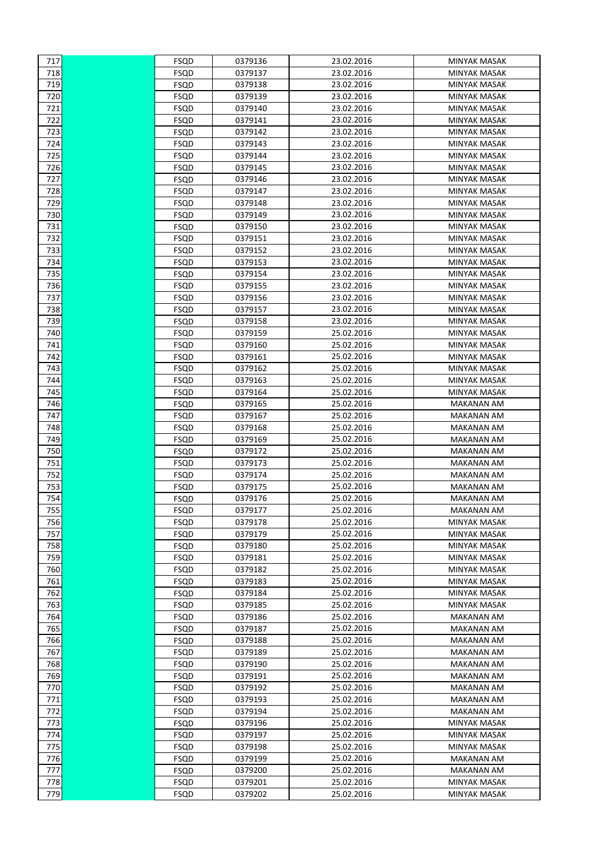| 717        | FSQD         | 0379136            | 23.02.2016               | MINYAK MASAK                           |
|------------|--------------|--------------------|--------------------------|----------------------------------------|
| 718        | FSQD         | 0379137            | 23.02.2016               | <b>MINYAK MASAK</b>                    |
| 719        | FSQD         | 0379138            | 23.02.2016               | MINYAK MASAK                           |
| 720        | FSQD         | 0379139            | 23.02.2016               | MINYAK MASAK                           |
| 721        | FSQD         | 0379140            | 23.02.2016               | <b>MINYAK MASAK</b>                    |
| 722        | FSQD         | 0379141            | 23.02.2016               | <b>MINYAK MASAK</b>                    |
| 723        | <b>FSQD</b>  | 0379142            | 23.02.2016               | <b>MINYAK MASAK</b>                    |
| 724        | FSQD         | 0379143            | 23.02.2016               | MINYAK MASAK                           |
| 725        | FSQD         | 0379144            | 23.02.2016               | MINYAK MASAK                           |
| 726        | FSQD         | 0379145            | 23.02.2016               | <b>MINYAK MASAK</b>                    |
| 727        | FSQD         | 0379146            | 23.02.2016               | MINYAK MASAK                           |
| 728        | FSQD         | 0379147            | 23.02.2016               | MINYAK MASAK                           |
| 729        | FSQD         | 0379148            | 23.02.2016               | <b>MINYAK MASAK</b>                    |
| 730        | FSQD         | 0379149            | 23.02.2016               | MINYAK MASAK                           |
| 731        | FSQD         | 0379150            | 23.02.2016               | MINYAK MASAK                           |
| 732        | FSQD         | 0379151            | 23.02.2016               | <b>MINYAK MASAK</b>                    |
| 733        | FSQD         | 0379152            | 23.02.2016               | <b>MINYAK MASAK</b>                    |
| 734        | FSQD         | 0379153            | 23.02.2016               | <b>MINYAK MASAK</b>                    |
| 735        | FSQD         | 0379154            | 23.02.2016               | <b>MINYAK MASAK</b>                    |
| 736        | FSQD         | 0379155            | 23.02.2016               | <b>MINYAK MASAK</b>                    |
| 737        | FSQD         | 0379156            | 23.02.2016               | <b>MINYAK MASAK</b>                    |
| 738        | FSQD         | 0379157            | 23.02.2016               | <b>MINYAK MASAK</b>                    |
| 739        | FSQD         | 0379158            | 23.02.2016               | <b>MINYAK MASAK</b>                    |
| 740        | FSQD         | 0379159            | 25.02.2016               | MINYAK MASAK                           |
| 741        | FSQD         | 0379160            | 25.02.2016               | MINYAK MASAK                           |
| 742        | FSQD         | 0379161            | 25.02.2016               | MINYAK MASAK                           |
| 743        | FSQD         | 0379162            | 25.02.2016               | <b>MINYAK MASAK</b>                    |
| 744        | FSQD         | 0379163            | 25.02.2016               | MINYAK MASAK                           |
| 745        | FSQD         | 0379164            | 25.02.2016               | MINYAK MASAK                           |
| 746        | FSQD         | 0379165            | 25.02.2016               | <b>MAKANAN AM</b>                      |
| 747        | FSQD         | 0379167            | 25.02.2016               | <b>MAKANAN AM</b>                      |
| 748        | FSQD         | 0379168            | 25.02.2016               | <b>MAKANAN AM</b>                      |
| 749        | <b>FSQD</b>  | 0379169            | 25.02.2016               | <b>MAKANAN AM</b>                      |
| 750        | FSQD         | 0379172            | 25.02.2016               | <b>MAKANAN AM</b>                      |
| 751        | FSQD         | 0379173            | 25.02.2016               | <b>MAKANAN AM</b>                      |
| 752        | FSQD         | 0379174            | 25.02.2016               | <b>MAKANAN AM</b>                      |
| 753        | FSQD         | 0379175            | 25.02.2016               | <b>MAKANAN AM</b>                      |
| 754        | FSQD         | 0379176            | 25.02.2016               | <b>MAKANAN AM</b>                      |
| 755        | FSQD         | 0379177            | 25.02.2016               | <b>MAKANAN AM</b>                      |
| 756        | FSQD         | 0379178            | 25.02.2016               | MINYAK MASAK                           |
| 757        | FSQD         | 0379179            | 25.02.2016               | MINYAK MASAK                           |
| 758        | FSQD         | 0379180            | 25.02.2016               | MINYAK MASAK                           |
|            |              |                    | 25.02.2016               | <b>MINYAK MASAK</b>                    |
| 759        | FSQD         | 0379181            | 25.02.2016               | <b>MINYAK MASAK</b>                    |
| 760<br>761 | FSQD<br>FSQD | 0379182<br>0379183 | 25.02.2016               | MINYAK MASAK                           |
|            |              |                    |                          | <b>MINYAK MASAK</b>                    |
| 762        | FSQD         | 0379184            | 25.02.2016               |                                        |
| 763<br>764 | FSQD<br>FSQD | 0379185<br>0379186 | 25.02.2016<br>25.02.2016 | MINYAK MASAK<br>MAKANAN AM             |
| 765        | FSQD         | 0379187            | 25.02.2016               | <b>MAKANAN AM</b>                      |
| 766        | FSQD         | 0379188            | 25.02.2016               | <b>MAKANAN AM</b>                      |
| 767        |              | 0379189            | 25.02.2016               | <b>MAKANAN AM</b>                      |
| 768        | FSQD         |                    |                          |                                        |
| 769        | FSQD         | 0379190<br>0379191 | 25.02.2016<br>25.02.2016 | MAKANAN AM                             |
| 770        | FSQD         |                    |                          | MAKANAN AM                             |
|            | FSQD         | 0379192            | 25.02.2016               | <b>MAKANAN AM</b><br><b>MAKANAN AM</b> |
| 771        | FSQD         | 0379193            | 25.02.2016               |                                        |
| 772        | FSQD         | 0379194            | 25.02.2016               | <b>MAKANAN AM</b>                      |
| 773        | FSQD         | 0379196            | 25.02.2016               | MINYAK MASAK                           |
| 774        | <b>FSQD</b>  | 0379197            | 25.02.2016               | MINYAK MASAK                           |
| 775        | FSQD         | 0379198            | 25.02.2016               | MINYAK MASAK                           |
| 776        | FSQD         | 0379199            | 25.02.2016               | <b>MAKANAN AM</b>                      |
| 777        | FSQD         | 0379200            | 25.02.2016               | MAKANAN AM                             |
| 778        | FSQD         | 0379201            | 25.02.2016               | MINYAK MASAK                           |
| 779        | FSQD         | 0379202            | 25.02.2016               | MINYAK MASAK                           |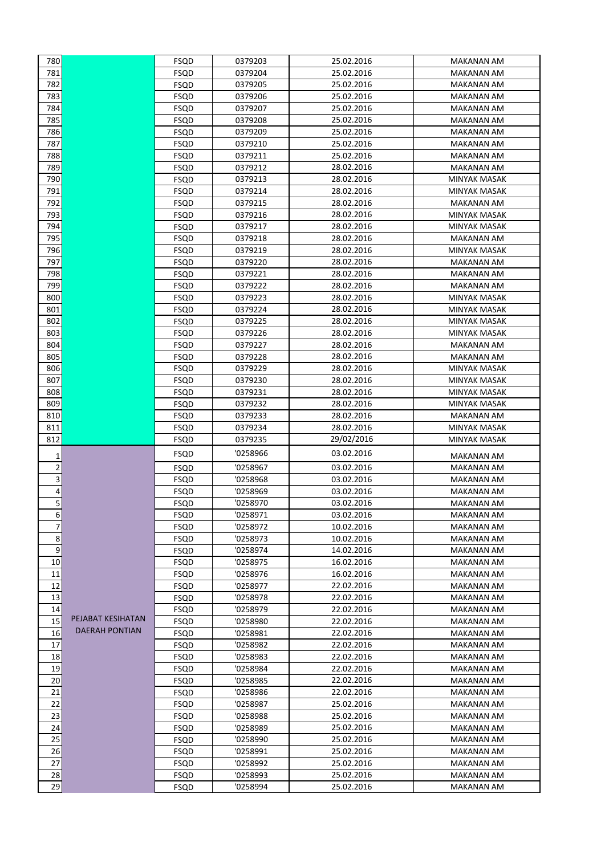| 780            |                   | FSQD        | 0379203  | 25.02.2016 | MAKANAN AM                          |
|----------------|-------------------|-------------|----------|------------|-------------------------------------|
| 781            |                   | FSQD        | 0379204  | 25.02.2016 | MAKANAN AM                          |
| 782            |                   | <b>FSQD</b> | 0379205  | 25.02.2016 | <b>MAKANAN AM</b>                   |
| 783            |                   | FSQD        | 0379206  | 25.02.2016 | <b>MAKANAN AM</b>                   |
| 784            |                   | FSQD        | 0379207  | 25.02.2016 | <b>MAKANAN AM</b>                   |
| 785            |                   | FSQD        | 0379208  | 25.02.2016 | MAKANAN AM                          |
| 786            |                   | FSQD        | 0379209  | 25.02.2016 | MAKANAN AM                          |
| 787            |                   | FSQD        | 0379210  | 25.02.2016 | MAKANAN AM                          |
| 788            |                   | FSQD        | 0379211  | 25.02.2016 | <b>MAKANAN AM</b>                   |
| 789            |                   | FSQD        | 0379212  | 28.02.2016 | MAKANAN AM                          |
| 790            |                   | FSQD        | 0379213  | 28.02.2016 | MINYAK MASAK                        |
| 791            |                   | FSQD        | 0379214  | 28.02.2016 | <b>MINYAK MASAK</b>                 |
| 792            |                   | FSQD        | 0379215  | 28.02.2016 | <b>MAKANAN AM</b>                   |
| 793            |                   | FSQD        | 0379216  | 28.02.2016 | MINYAK MASAK                        |
| 794            |                   | FSQD        | 0379217  | 28.02.2016 | MINYAK MASAK                        |
| 795            |                   | FSQD        | 0379218  | 28.02.2016 | <b>MAKANAN AM</b>                   |
| 796            |                   | FSQD        | 0379219  | 28.02.2016 | <b>MINYAK MASAK</b>                 |
| 797            |                   | FSQD        | 0379220  | 28.02.2016 | MAKANAN AM                          |
| 798            |                   | FSQD        | 0379221  | 28.02.2016 | MAKANAN AM                          |
| 799            |                   | FSQD        | 0379222  | 28.02.2016 | MAKANAN AM                          |
| 800            |                   | FSQD        | 0379223  | 28.02.2016 | <b>MINYAK MASAK</b>                 |
| 801            |                   | FSQD        | 0379224  | 28.02.2016 | MINYAK MASAK                        |
| 802            |                   | FSQD        | 0379225  | 28.02.2016 | MINYAK MASAK                        |
| 803            |                   | FSQD        | 0379226  | 28.02.2016 | MINYAK MASAK                        |
| 804            |                   | FSQD        | 0379227  | 28.02.2016 | <b>MAKANAN AM</b>                   |
| 805            |                   | FSQD        | 0379228  | 28.02.2016 | <b>MAKANAN AM</b>                   |
| 806            |                   | FSQD        | 0379229  | 28.02.2016 | MINYAK MASAK                        |
| 807            |                   | FSQD        | 0379230  | 28.02.2016 | MINYAK MASAK                        |
| 808            |                   | FSQD        | 0379231  | 28.02.2016 | MINYAK MASAK                        |
| 809            |                   |             |          |            |                                     |
|                |                   | FSQD        | 0379232  | 28.02.2016 | MINYAK MASAK                        |
| 810<br>811     |                   | FSQD        | 0379233  | 28.02.2016 | MAKANAN AM                          |
| 812            |                   | FSQD        | 0379234  | 28.02.2016 | MINYAK MASAK<br><b>MINYAK MASAK</b> |
|                |                   | FSQD        | 0379235  | 29/02/2016 |                                     |
| 1              |                   | FSQD        | '0258966 | 03.02.2016 | MAKANAN AM                          |
| $\overline{2}$ |                   | FSQD        | '0258967 | 03.02.2016 | <b>MAKANAN AM</b>                   |
| 3              |                   | FSQD        | '0258968 | 03.02.2016 | MAKANAN AM                          |
| 4              |                   | FSQD        | '0258969 | 03.02.2016 | <b>MAKANAN AM</b>                   |
| 5              |                   | FSQD        | '0258970 | 03.02.2016 | <b>MAKANAN AM</b>                   |
| 6              |                   | FSQD        | '0258971 | 03.02.2016 | <b>MAKANAN AM</b>                   |
| 7              |                   | FSQD        | '0258972 | 10.02.2016 | <b>MAKANAN AM</b>                   |
| 8              |                   | FSQD        | '0258973 | 10.02.2016 | MAKANAN AM                          |
| 9              |                   | FSQD        | '0258974 | 14.02.2016 | <b>MAKANAN AM</b>                   |
| 10             |                   | FSQD        | '0258975 | 16.02.2016 | <b>MAKANAN AM</b>                   |
| 11             |                   | FSQD        | '0258976 | 16.02.2016 | MAKANAN AM                          |
| 12             |                   | FSQD        | '0258977 | 22.02.2016 | MAKANAN AM                          |
| 13             |                   | FSQD        | '0258978 | 22.02.2016 | MAKANAN AM                          |
| 14             |                   | FSQD        | '0258979 | 22.02.2016 | MAKANAN AM                          |
| 15             | PEJABAT KESIHATAN | FSQD        | '0258980 | 22.02.2016 | MAKANAN AM                          |
| 16             | DAERAH PONTIAN    | FSQD        | '0258981 | 22.02.2016 | MAKANAN AM                          |
| 17             |                   | FSQD        | '0258982 | 22.02.2016 | MAKANAN AM                          |
| 18             |                   | FSQD        | '0258983 | 22.02.2016 | <b>MAKANAN AM</b>                   |
| 19             |                   | FSQD        | '0258984 | 22.02.2016 | MAKANAN AM                          |
| 20             |                   | FSQD        | '0258985 | 22.02.2016 | MAKANAN AM                          |
| 21             |                   | FSQD        | '0258986 | 22.02.2016 | MAKANAN AM                          |
| 22             |                   | FSQD        | '0258987 | 25.02.2016 | <b>MAKANAN AM</b>                   |
| 23             |                   | FSQD        | '0258988 | 25.02.2016 | MAKANAN AM                          |
| 24             |                   | FSQD        | '0258989 | 25.02.2016 | MAKANAN AM                          |
| 25             |                   | FSQD        | '0258990 | 25.02.2016 | MAKANAN AM                          |
| 26             |                   | FSQD        | '0258991 | 25.02.2016 | <b>MAKANAN AM</b>                   |
| 27             |                   | FSQD        | '0258992 | 25.02.2016 | MAKANAN AM                          |
| 28             |                   | FSQD        | '0258993 | 25.02.2016 | MAKANAN AM                          |
|                |                   | FSQD        | '0258994 | 25.02.2016 | MAKANAN AM                          |
| 29             |                   |             |          |            |                                     |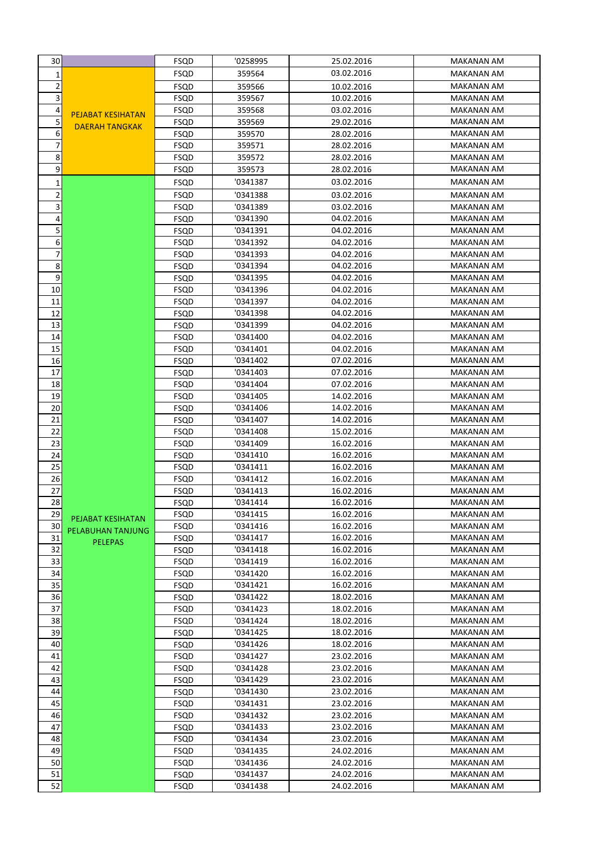| 30             |                                                   | FSQD         | '0258995             | 25.02.2016               | MAKANAN AM                      |
|----------------|---------------------------------------------------|--------------|----------------------|--------------------------|---------------------------------|
| 1              |                                                   | FSQD         | 359564               | 03.02.2016               | <b>MAKANAN AM</b>               |
| 2              |                                                   | FSQD         | 359566               | 10.02.2016               | <b>MAKANAN AM</b>               |
| 3              |                                                   | FSQD         | 359567               | 10.02.2016               | <b>MAKANAN AM</b>               |
| 4              |                                                   | FSQD         | 359568               | 03.02.2016               | <b>MAKANAN AM</b>               |
| 5              | <b>PEJABAT KESIHATAN</b><br><b>DAERAH TANGKAK</b> | FSQD         | 359569               | 29.02.2016               | MAKANAN AM                      |
| 6              |                                                   | FSQD         | 359570               | 28.02.2016               | MAKANAN AM                      |
| $\overline{7}$ |                                                   | FSQD         | 359571               | 28.02.2016               | <b>MAKANAN AM</b>               |
| 8              |                                                   | FSQD         | 359572               | 28.02.2016               | <b>MAKANAN AM</b>               |
| 9              |                                                   | FSQD         | 359573               | 28.02.2016               | <b>MAKANAN AM</b>               |
| 1              |                                                   | FSQD         | '0341387             | 03.02.2016               | <b>MAKANAN AM</b>               |
| 2              |                                                   | FSQD         | '0341388             | 03.02.2016               | <b>MAKANAN AM</b>               |
| 3              |                                                   | FSQD         | '0341389             | 03.02.2016               | MAKANAN AM                      |
| 4              |                                                   | FSQD         | '0341390             | 04.02.2016               | <b>MAKANAN AM</b>               |
| 5              |                                                   | FSQD         | '0341391             | 04.02.2016               | <b>MAKANAN AM</b>               |
| 6              |                                                   | FSQD         | '0341392             | 04.02.2016               | <b>MAKANAN AM</b>               |
| 7              |                                                   | FSQD         | '0341393             | 04.02.2016               | MAKANAN AM                      |
| 8              |                                                   | FSQD         | '0341394             | 04.02.2016               | MAKANAN AM                      |
| 9              |                                                   | FSQD         | '0341395             | 04.02.2016               | MAKANAN AM                      |
| 10             |                                                   | FSQD         | '0341396             | 04.02.2016               | <b>MAKANAN AM</b>               |
| 11             |                                                   | FSQD         | '0341397             | 04.02.2016               | MAKANAN AM                      |
| 12             |                                                   | FSQD         | '0341398             | 04.02.2016               | MAKANAN AM                      |
| 13             |                                                   | FSQD         | '0341399             | 04.02.2016               | <b>MAKANAN AM</b>               |
| 14             |                                                   | FSQD         | '0341400             | 04.02.2016               | <b>MAKANAN AM</b>               |
| 15             |                                                   | FSQD         | '0341401             | 04.02.2016               | <b>MAKANAN AM</b>               |
| 16             |                                                   | FSQD         | '0341402             | 07.02.2016               | <b>MAKANAN AM</b>               |
| 17             |                                                   | FSQD         | '0341403             | 07.02.2016               | <b>MAKANAN AM</b>               |
| 18             |                                                   | FSQD         | '0341404             | 07.02.2016               | MAKANAN AM                      |
| 19             |                                                   | FSQD         | '0341405             | 14.02.2016               | MAKANAN AM                      |
| 20             |                                                   | FSQD         | '0341406             | 14.02.2016               | MAKANAN AM                      |
| 21<br>22       |                                                   | FSQD         | '0341407<br>'0341408 | 14.02.2016<br>15.02.2016 | MAKANAN AM<br><b>MAKANAN AM</b> |
| 23             |                                                   | FSQD<br>FSQD | '0341409             | 16.02.2016               | <b>MAKANAN AM</b>               |
| 24             |                                                   | FSQD         | '0341410             | 16.02.2016               | MAKANAN AM                      |
| 25             |                                                   | FSQD         | '0341411             | 16.02.2016               | <b>MAKANAN AM</b>               |
| 26             |                                                   | FSQD         | '0341412             | 16.02.2016               | <b>MAKANAN AM</b>               |
| 27             |                                                   | FSQD         | '0341413             | 16.02.2016               | <b>MAKANAN AM</b>               |
| 28             |                                                   | FSQD         | '0341414             | 16.02.2016               | <b>MAKANAN AM</b>               |
| 29             | PEJABAT KESIHATAN                                 | FSQD         | '0341415             | 16.02.2016               | MAKANAN AM                      |
| 30             | PELABUHAN TANJUNG                                 | FSQD         | '0341416             | 16.02.2016               | <b>MAKANAN AM</b>               |
| 31             | <b>PELEPAS</b>                                    | FSQD         | '0341417             | 16.02.2016               | <b>MAKANAN AM</b>               |
| 32             |                                                   | FSQD         | '0341418             | 16.02.2016               | <b>MAKANAN AM</b>               |
| 33             |                                                   | FSQD         | '0341419             | 16.02.2016               | MAKANAN AM                      |
| 34             |                                                   | FSQD         | '0341420             | 16.02.2016               | <b>MAKANAN AM</b>               |
| 35             |                                                   | FSQD         | '0341421             | 16.02.2016               | MAKANAN AM                      |
| 36             |                                                   | FSQD         | '0341422             | 18.02.2016               | MAKANAN AM                      |
| 37             |                                                   | FSQD         | '0341423             | 18.02.2016               | MAKANAN AM                      |
| 38             |                                                   | FSQD         | '0341424             | 18.02.2016               | MAKANAN AM                      |
| 39             |                                                   | FSQD         | '0341425             | 18.02.2016               | MAKANAN AM                      |
| 40             |                                                   | FSQD         | '0341426             | 18.02.2016               | <b>MAKANAN AM</b>               |
| 41             |                                                   | FSQD         | '0341427             | 23.02.2016               | MAKANAN AM                      |
| 42             |                                                   | FSQD         | '0341428             | 23.02.2016               | MAKANAN AM                      |
| 43<br>44       |                                                   | FSQD<br>FSQD | '0341429<br>'0341430 | 23.02.2016<br>23.02.2016 | MAKANAN AM<br>MAKANAN AM        |
| 45             |                                                   | FSQD         | '0341431             | 23.02.2016               | MAKANAN AM                      |
| 46             |                                                   | FSQD         | '0341432             | 23.02.2016               | MAKANAN AM                      |
| 47             |                                                   | FSQD         | '0341433             | 23.02.2016               | <b>MAKANAN AM</b>               |
| 48             |                                                   | FSQD         | '0341434             | 23.02.2016               | <b>MAKANAN AM</b>               |
| 49             |                                                   | FSQD         | '0341435             | 24.02.2016               | MAKANAN AM                      |
| 50             |                                                   | FSQD         | '0341436             | 24.02.2016               | MAKANAN AM                      |
| 51             |                                                   | FSQD         | '0341437             | 24.02.2016               | MAKANAN AM                      |
| 52             |                                                   | FSQD         | '0341438             | 24.02.2016               | MAKANAN AM                      |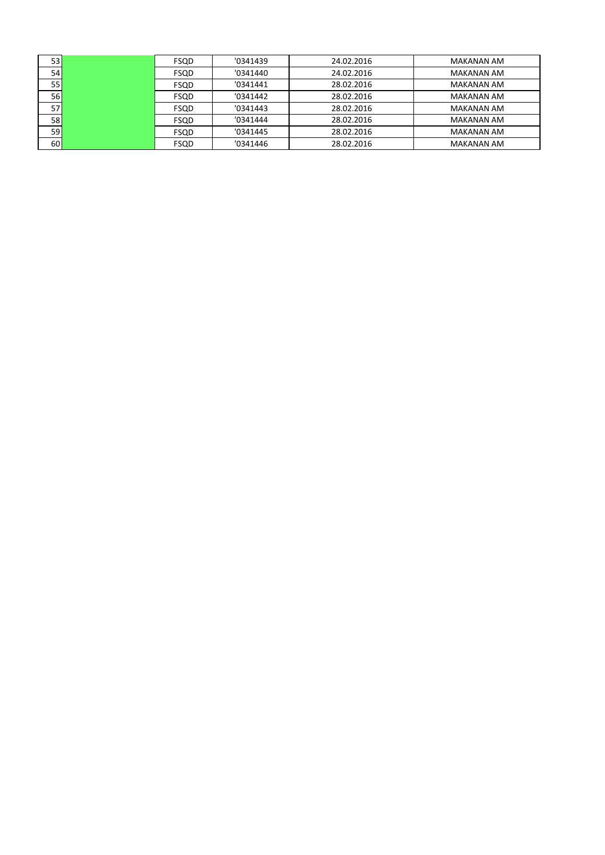| 53              | FSQD        | '0341439 | 24.02.2016 | <b>MAKANAN AM</b> |
|-----------------|-------------|----------|------------|-------------------|
| 54 <sub>1</sub> | <b>FSQD</b> | '0341440 | 24.02.2016 | <b>MAKANAN AM</b> |
| 55              | <b>FSQD</b> | '0341441 | 28.02.2016 | <b>MAKANAN AM</b> |
| 56              | <b>FSQD</b> | '0341442 | 28.02.2016 | <b>MAKANAN AM</b> |
| 57              | <b>FSQD</b> | '0341443 | 28.02.2016 | <b>MAKANAN AM</b> |
| 58              | <b>FSQD</b> | '0341444 | 28.02.2016 | <b>MAKANAN AM</b> |
| 59              | <b>FSQD</b> | '0341445 | 28.02.2016 | <b>MAKANAN AM</b> |
| 60              | <b>FSQD</b> | '0341446 | 28.02.2016 | <b>MAKANAN AM</b> |